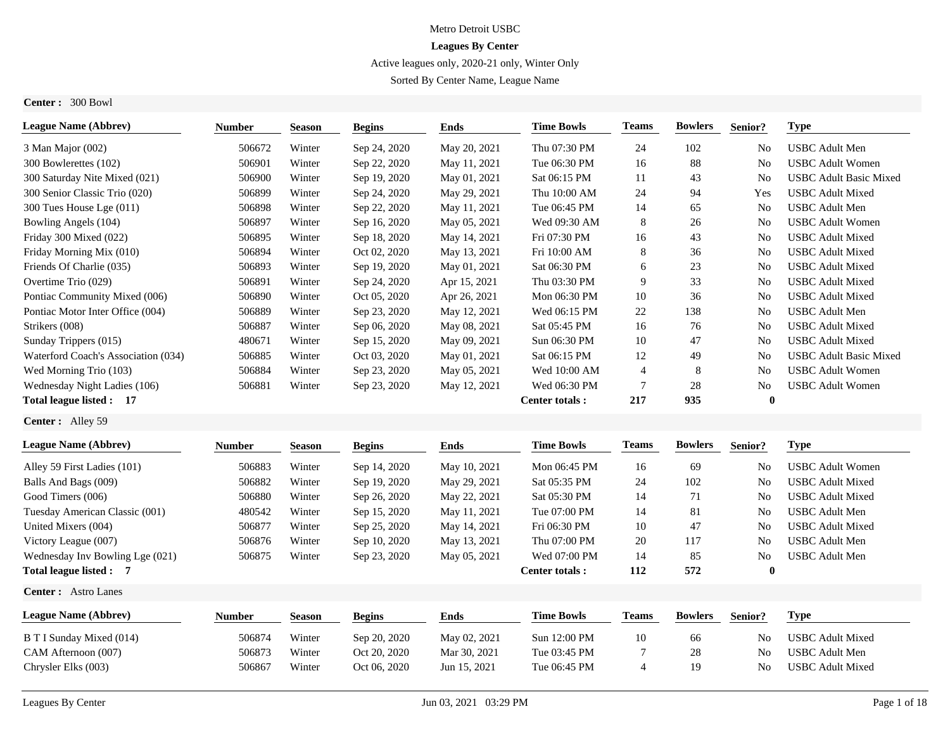## Metro Detroit USBC

# **Leagues By Center**

# Active leagues only, 2020-21 only, Winter Only

Sorted By Center Name, League Name

**Center :** 300 Bowl

| <b>League Name (Abbrev)</b>         | Number        | <b>Season</b> | <b>Begins</b> | <b>Ends</b>  | <b>Time Bowls</b>     | <b>Teams</b>   | <b>Bowlers</b> | Senior?        | <b>Type</b>                   |
|-------------------------------------|---------------|---------------|---------------|--------------|-----------------------|----------------|----------------|----------------|-------------------------------|
| 3 Man Major (002)                   | 506672        | Winter        | Sep 24, 2020  | May 20, 2021 | Thu 07:30 PM          | 24             | 102            | No             | <b>USBC</b> Adult Men         |
| 300 Bowlerettes (102)               | 506901        | Winter        | Sep 22, 2020  | May 11, 2021 | Tue 06:30 PM          | 16             | 88             | No             | <b>USBC</b> Adult Women       |
| 300 Saturday Nite Mixed (021)       | 506900        | Winter        | Sep 19, 2020  | May 01, 2021 | Sat 06:15 PM          | 11             | 43             | N <sub>0</sub> | <b>USBC Adult Basic Mixed</b> |
| 300 Senior Classic Trio (020)       | 506899        | Winter        | Sep 24, 2020  | May 29, 2021 | Thu 10:00 AM          | 24             | 94             | Yes            | <b>USBC</b> Adult Mixed       |
| 300 Tues House Lge (011)            | 506898        | Winter        | Sep 22, 2020  | May 11, 2021 | Tue 06:45 PM          | 14             | 65             | N <sub>o</sub> | <b>USBC</b> Adult Men         |
| Bowling Angels (104)                | 506897        | Winter        | Sep 16, 2020  | May 05, 2021 | Wed 09:30 AM          | 8              | 26             | N <sub>0</sub> | <b>USBC</b> Adult Women       |
| Friday 300 Mixed (022)              | 506895        | Winter        | Sep 18, 2020  | May 14, 2021 | Fri 07:30 PM          | 16             | 43             | N <sub>0</sub> | <b>USBC</b> Adult Mixed       |
| Friday Morning Mix (010)            | 506894        | Winter        | Oct 02, 2020  | May 13, 2021 | Fri 10:00 AM          | 8              | 36             | N <sub>0</sub> | <b>USBC</b> Adult Mixed       |
| Friends Of Charlie (035)            | 506893        | Winter        | Sep 19, 2020  | May 01, 2021 | Sat 06:30 PM          | 6              | 23             | No             | <b>USBC</b> Adult Mixed       |
| Overtime Trio (029)                 | 506891        | Winter        | Sep 24, 2020  | Apr 15, 2021 | Thu 03:30 PM          | 9              | 33             | No             | <b>USBC</b> Adult Mixed       |
| Pontiac Community Mixed (006)       | 506890        | Winter        | Oct 05, 2020  | Apr 26, 2021 | Mon 06:30 PM          | 10             | 36             | N <sub>o</sub> | <b>USBC</b> Adult Mixed       |
| Pontiac Motor Inter Office (004)    | 506889        | Winter        | Sep 23, 2020  | May 12, 2021 | Wed 06:15 PM          | 22             | 138            | No             | <b>USBC</b> Adult Men         |
| Strikers (008)                      | 506887        | Winter        | Sep 06, 2020  | May 08, 2021 | Sat 05:45 PM          | 16             | 76             | No             | <b>USBC</b> Adult Mixed       |
| Sunday Trippers (015)               | 480671        | Winter        | Sep 15, 2020  | May 09, 2021 | Sun 06:30 PM          | 10             | 47             | N <sub>0</sub> | <b>USBC</b> Adult Mixed       |
| Waterford Coach's Association (034) | 506885        | Winter        | Oct 03, 2020  | May 01, 2021 | Sat 06:15 PM          | 12             | 49             | No             | <b>USBC</b> Adult Basic Mixed |
| Wed Morning Trio (103)              | 506884        | Winter        | Sep 23, 2020  | May 05, 2021 | Wed 10:00 AM          | $\overline{4}$ | 8              | N <sub>o</sub> | <b>USBC Adult Women</b>       |
| Wednesday Night Ladies (106)        | 506881        | Winter        | Sep 23, 2020  | May 12, 2021 | Wed 06:30 PM          | 7              | 28             | N <sub>0</sub> | <b>USBC Adult Women</b>       |
| Total league listed: 17             |               |               |               |              | <b>Center totals:</b> | 217            | 935            | $\bf{0}$       |                               |
| Center: Alley 59                    |               |               |               |              |                       |                |                |                |                               |
| <b>League Name (Abbrev)</b>         | <b>Number</b> | <b>Season</b> | <b>Begins</b> | <b>Ends</b>  | <b>Time Bowls</b>     | <b>Teams</b>   | <b>Bowlers</b> | Senior?        | <b>Type</b>                   |
| Alley 59 First Ladies (101)         | 506883        | Winter        | Sep 14, 2020  | May 10, 2021 | Mon 06:45 PM          | 16             | 69             | No             | <b>USBC Adult Women</b>       |
| Balls And Bags (009)                | 506882        | Winter        | Sep 19, 2020  | May 29, 2021 | Sat 05:35 PM          | 24             | 102            | No             | <b>USBC Adult Mixed</b>       |
| Good Timers (006)                   | 506880        | Winter        | Sep 26, 2020  | May 22, 2021 | Sat 05:30 PM          | 14             | 71             | <b>No</b>      | <b>USBC</b> Adult Mixed       |
| Tuesday American Classic (001)      | 480542        | Winter        | Sep 15, 2020  | May 11, 2021 | Tue 07:00 PM          | 14             | 81             | No             | <b>USBC</b> Adult Men         |
| United Mixers (004)                 | 506877        | Winter        | Sep 25, 2020  | May 14, 2021 | Fri 06:30 PM          | 10             | 47             | No             | <b>USBC Adult Mixed</b>       |
| Victory League (007)                | 506876        | Winter        | Sep 10, 2020  | May 13, 2021 | Thu 07:00 PM          | 20             | 117            | N <sub>0</sub> | <b>USBC</b> Adult Men         |
| Wednesday Inv Bowling Lge (021)     | 506875        | Winter        | Sep 23, 2020  | May 05, 2021 | Wed 07:00 PM          | 14             | 85             | No             | <b>USBC</b> Adult Men         |
| Total league listed: 7              |               |               |               |              | <b>Center totals:</b> | 112            | 572            | $\mathbf{0}$   |                               |
| <b>Center:</b> Astro Lanes          |               |               |               |              |                       |                |                |                |                               |
| <b>League Name (Abbrev)</b>         | <b>Number</b> | <b>Season</b> | <b>Begins</b> | <b>Ends</b>  | <b>Time Bowls</b>     | <b>Teams</b>   | <b>Bowlers</b> | Senior?        | <b>Type</b>                   |
| <b>B T I Sunday Mixed (014)</b>     | 506874        | Winter        | Sep 20, 2020  | May 02, 2021 | Sun 12:00 PM          | 10             | 66             | No             | <b>USBC</b> Adult Mixed       |
| CAM Afternoon (007)                 | 506873        | Winter        | Oct 20, 2020  | Mar 30, 2021 | Tue 03:45 PM          | 7              | 28             | N <sub>0</sub> | <b>USBC</b> Adult Men         |
| Chrysler Elks (003)                 | 506867        | Winter        | Oct 06, 2020  | Jun 15, 2021 | Tue 06:45 PM          | $\overline{4}$ | 19             | No             | <b>USBC</b> Adult Mixed       |
|                                     |               |               |               |              |                       |                |                |                |                               |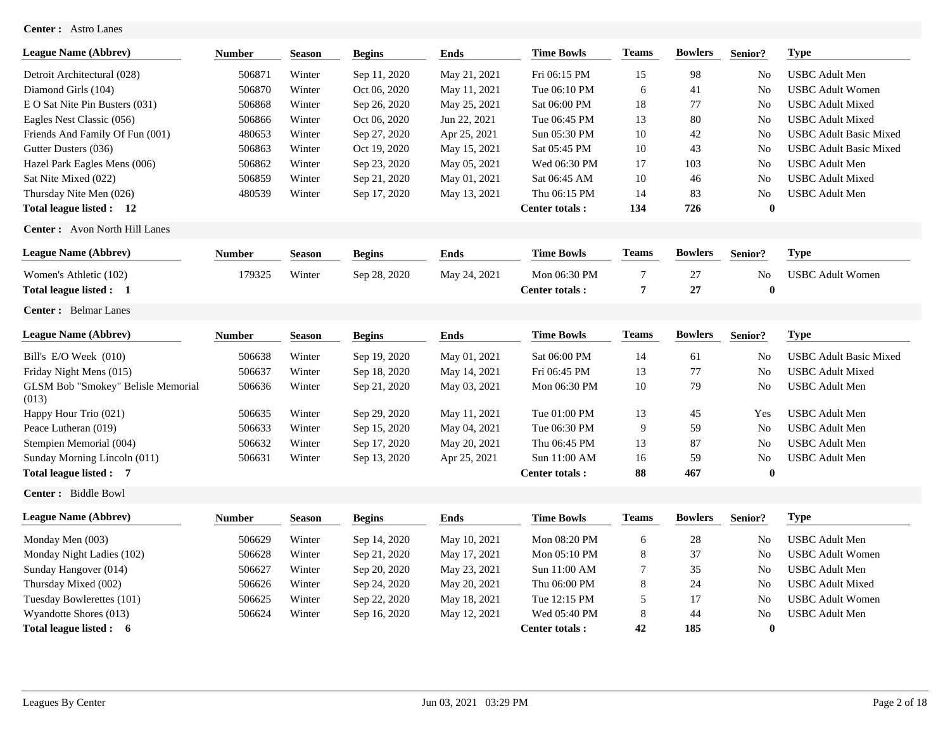## **Center :** Astro Lanes

| <b>League Name (Abbrev)</b>                 | <b>Number</b> | <b>Season</b> | <b>Begins</b> | <b>Ends</b>  | <b>Time Bowls</b>     | <b>Teams</b>     | <b>Bowlers</b> | Senior?        | <b>Type</b>                   |
|---------------------------------------------|---------------|---------------|---------------|--------------|-----------------------|------------------|----------------|----------------|-------------------------------|
| Detroit Architectural (028)                 | 506871        | Winter        | Sep 11, 2020  | May 21, 2021 | Fri 06:15 PM          | 15               | 98             | N <sub>0</sub> | <b>USBC</b> Adult Men         |
| Diamond Girls (104)                         | 506870        | Winter        | Oct 06, 2020  | May 11, 2021 | Tue 06:10 PM          | 6                | 41             | No             | <b>USBC</b> Adult Women       |
| E O Sat Nite Pin Busters (031)              | 506868        | Winter        | Sep 26, 2020  | May 25, 2021 | Sat 06:00 PM          | 18               | 77             | No             | <b>USBC</b> Adult Mixed       |
| Eagles Nest Classic (056)                   | 506866        | Winter        | Oct 06, 2020  | Jun 22, 2021 | Tue 06:45 PM          | 13               | 80             | No             | <b>USBC</b> Adult Mixed       |
| Friends And Family Of Fun (001)             | 480653        | Winter        | Sep 27, 2020  | Apr 25, 2021 | Sun 05:30 PM          | 10               | 42             | No             | <b>USBC Adult Basic Mixed</b> |
| Gutter Dusters (036)                        | 506863        | Winter        | Oct 19, 2020  | May 15, 2021 | Sat 05:45 PM          | 10               | 43             | No             | <b>USBC Adult Basic Mixed</b> |
| Hazel Park Eagles Mens (006)                | 506862        | Winter        | Sep 23, 2020  | May 05, 2021 | Wed 06:30 PM          | 17               | 103            | No             | <b>USBC</b> Adult Men         |
| Sat Nite Mixed (022)                        | 506859        | Winter        | Sep 21, 2020  | May 01, 2021 | Sat 06:45 AM          | 10               | 46             | No             | <b>USBC</b> Adult Mixed       |
| Thursday Nite Men (026)                     | 480539        | Winter        | Sep 17, 2020  | May 13, 2021 | Thu 06:15 PM          | 14               | 83             | No             | <b>USBC</b> Adult Men         |
| Total league listed: 12                     |               |               |               |              | <b>Center totals:</b> | 134              | 726            | $\bf{0}$       |                               |
| <b>Center:</b> Avon North Hill Lanes        |               |               |               |              |                       |                  |                |                |                               |
| <b>League Name (Abbrev)</b>                 | <b>Number</b> | <b>Season</b> | <b>Begins</b> | <b>Ends</b>  | <b>Time Bowls</b>     | <b>Teams</b>     | <b>Bowlers</b> | Senior?        | <b>Type</b>                   |
| Women's Athletic (102)                      | 179325        | Winter        | Sep 28, 2020  | May 24, 2021 | Mon 06:30 PM          | 7                | $27\,$         | No             | <b>USBC</b> Adult Women       |
| Total league listed : 1                     |               |               |               |              | <b>Center totals:</b> | 7                | 27             | $\mathbf 0$    |                               |
| <b>Center:</b> Belmar Lanes                 |               |               |               |              |                       |                  |                |                |                               |
| <b>League Name (Abbrev)</b>                 | <b>Number</b> | <b>Season</b> | <b>Begins</b> | <b>Ends</b>  | <b>Time Bowls</b>     | <b>Teams</b>     | <b>Bowlers</b> | Senior?        | <b>Type</b>                   |
| Bill's E/O Week (010)                       | 506638        | Winter        | Sep 19, 2020  | May 01, 2021 | Sat 06:00 PM          | 14               | 61             | No             | <b>USBC</b> Adult Basic Mixed |
| Friday Night Mens (015)                     | 506637        | Winter        | Sep 18, 2020  | May 14, 2021 | Fri 06:45 PM          | 13               | 77             | No             | <b>USBC</b> Adult Mixed       |
| GLSM Bob "Smokey" Belisle Memorial<br>(013) | 506636        | Winter        | Sep 21, 2020  | May 03, 2021 | Mon 06:30 PM          | 10               | 79             | No             | <b>USBC</b> Adult Men         |
| Happy Hour Trio (021)                       | 506635        | Winter        | Sep 29, 2020  | May 11, 2021 | Tue 01:00 PM          | 13               | 45             | Yes            | <b>USBC</b> Adult Men         |
| Peace Lutheran (019)                        | 506633        | Winter        | Sep 15, 2020  | May 04, 2021 | Tue 06:30 PM          | 9                | 59             | No             | <b>USBC</b> Adult Men         |
| Stempien Memorial (004)                     | 506632        | Winter        | Sep 17, 2020  | May 20, 2021 | Thu 06:45 PM          | 13               | 87             | No             | <b>USBC</b> Adult Men         |
| Sunday Morning Lincoln (011)                | 506631        | Winter        | Sep 13, 2020  | Apr 25, 2021 | Sun 11:00 AM          | 16               | 59             | No             | <b>USBC</b> Adult Men         |
| Total league listed : 7                     |               |               |               |              | <b>Center totals:</b> | 88               | 467            | $\bf{0}$       |                               |
| Center: Biddle Bowl                         |               |               |               |              |                       |                  |                |                |                               |
| <b>League Name (Abbrev)</b>                 | <b>Number</b> | <b>Season</b> | <b>Begins</b> | <b>Ends</b>  | <b>Time Bowls</b>     | $\mathbf{Teams}$ | <b>Bowlers</b> | Senior?        | <b>Type</b>                   |
| Monday Men (003)                            | 506629        | Winter        | Sep 14, 2020  | May 10, 2021 | Mon 08:20 PM          | 6                | $28\,$         | No             | <b>USBC</b> Adult Men         |
| Monday Night Ladies (102)                   | 506628        | Winter        | Sep 21, 2020  | May 17, 2021 | Mon 05:10 PM          | 8                | 37             | No             | <b>USBC</b> Adult Women       |
| Sunday Hangover (014)                       | 506627        | Winter        | Sep 20, 2020  | May 23, 2021 | Sun 11:00 AM          | 7                | 35             | No             | <b>USBC</b> Adult Men         |
| Thursday Mixed (002)                        | 506626        | Winter        | Sep 24, 2020  | May 20, 2021 | Thu 06:00 PM          | 8                | 24             | No             | <b>USBC</b> Adult Mixed       |
| Tuesday Bowlerettes (101)                   | 506625        | Winter        | Sep 22, 2020  | May 18, 2021 | Tue 12:15 PM          | 5                | 17             | No             | <b>USBC</b> Adult Women       |
| Wyandotte Shores (013)                      | 506624        | Winter        | Sep 16, 2020  | May 12, 2021 | Wed 05:40 PM          | 8                | 44             | N <sub>o</sub> | <b>USBC</b> Adult Men         |
| Total league listed : 6                     |               |               |               |              | <b>Center totals:</b> | 42               | 185            | $\mathbf 0$    |                               |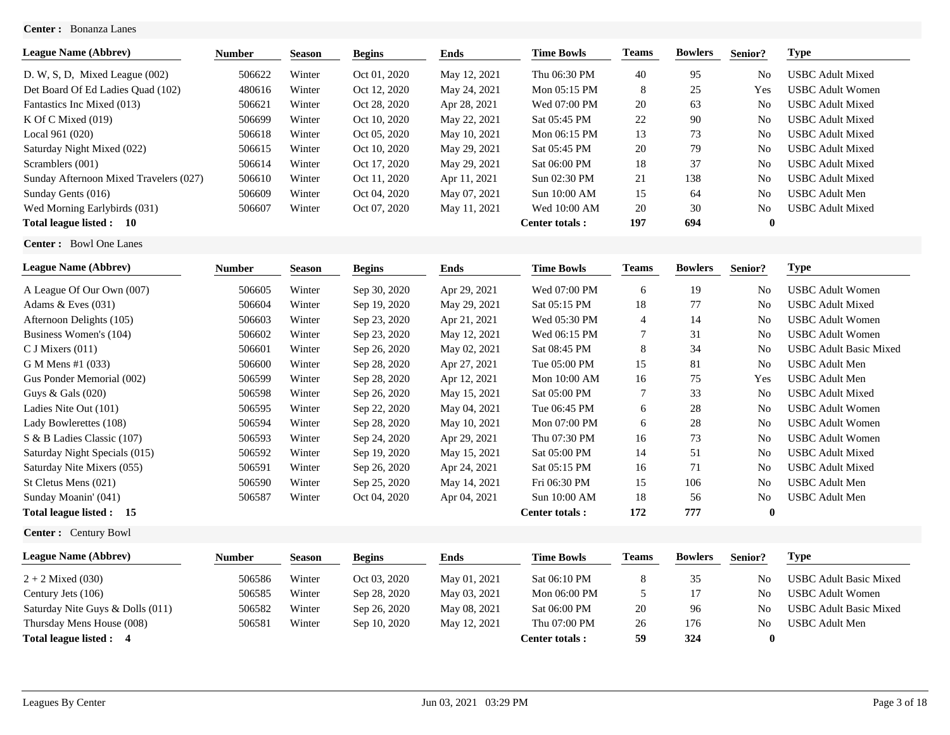## **Center :** Bonanza Lanes

| <b>League Name (Abbrev)</b>            | <b>Number</b> | <b>Season</b> | <b>Begins</b> | Ends         | <b>Time Bowls</b>      | <b>Teams</b> | <b>Bowlers</b> | Senior?        | <b>Type</b>             |
|----------------------------------------|---------------|---------------|---------------|--------------|------------------------|--------------|----------------|----------------|-------------------------|
| D. W, S, D, Mixed League $(002)$       | 506622        | Winter        | Oct 01, 2020  | May 12, 2021 | Thu 06:30 PM           | 40           | 95             | N <sub>o</sub> | <b>USBC Adult Mixed</b> |
| Det Board Of Ed Ladies Quad (102)      | 480616        | Winter        | Oct 12, 2020  | May 24, 2021 | Mon 05:15 PM           | 8            | 25             | Yes            | <b>USBC Adult Women</b> |
| Fantastics Inc Mixed (013)             | 506621        | Winter        | Oct 28, 2020  | Apr 28, 2021 | Wed 07:00 PM           | 20           | 63             | N <sub>o</sub> | <b>USBC</b> Adult Mixed |
| K Of C Mixed $(019)$                   | 506699        | Winter        | Oct 10, 2020  | May 22, 2021 | Sat 05:45 PM           | 22           | -90            | N <sub>0</sub> | <b>USBC Adult Mixed</b> |
| Local 961 (020)                        | 506618        | Winter        | Oct 05, 2020  | May 10, 2021 | Mon 06:15 PM           | 13           | 73             | N <sub>0</sub> | <b>USBC</b> Adult Mixed |
| Saturday Night Mixed (022)             | 506615        | Winter        | Oct 10, 2020  | May 29, 2021 | Sat 05:45 PM           | 20           | 79             | N <sub>o</sub> | <b>USBC</b> Adult Mixed |
| Scramblers (001)                       | 506614        | Winter        | Oct 17, 2020  | May 29, 2021 | Sat 06:00 PM           | 18           | 37             | N <sub>o</sub> | <b>USBC</b> Adult Mixed |
| Sunday Afternoon Mixed Travelers (027) | 506610        | Winter        | Oct 11, 2020  | Apr 11, 2021 | Sun 02:30 PM           | 21           | 138            | N <sub>0</sub> | <b>USBC Adult Mixed</b> |
| Sunday Gents (016)                     | 506609        | Winter        | Oct 04, 2020  | May 07, 2021 | Sun 10:00 AM           | 15           | 64             | N <sub>o</sub> | <b>USBC</b> Adult Men   |
| Wed Morning Earlybirds (031)           | 506607        | Winter        | Oct 07, 2020  | May 11, 2021 | Wed 10:00 AM           | 20           | 30             | N <sub>o</sub> | <b>USBC Adult Mixed</b> |
| Total league listed :<br>10            |               |               |               |              | <b>Center totals :</b> | 197          | 694            | $\mathbf{0}$   |                         |

**Center :** Bowl One Lanes

| <b>League Name (Abbrev)</b>   | <b>Number</b> | <b>Season</b> | <b>Begins</b> | Ends         | <b>Time Bowls</b>     | Teams          | <b>Bowlers</b> | Senior?        | <b>Type</b>                   |
|-------------------------------|---------------|---------------|---------------|--------------|-----------------------|----------------|----------------|----------------|-------------------------------|
| A League Of Our Own (007)     | 506605        | Winter        | Sep 30, 2020  | Apr 29, 2021 | Wed 07:00 PM          | 6              | 19             | No             | <b>USBC Adult Women</b>       |
| Adams $&$ Eves $(031)$        | 506604        | Winter        | Sep 19, 2020  | May 29, 2021 | Sat 05:15 PM          | 18             | 77             | No             | <b>USBC</b> Adult Mixed       |
| Afternoon Delights (105)      | 506603        | Winter        | Sep 23, 2020  | Apr 21, 2021 | Wed 05:30 PM          | 4              | 14             | N <sub>o</sub> | <b>USBC Adult Women</b>       |
| Business Women's (104)        | 506602        | Winter        | Sep 23, 2020  | May 12, 2021 | Wed 06:15 PM          | $\overline{7}$ | 31             | No             | <b>USBC Adult Women</b>       |
| $C$ J Mixers $(011)$          | 506601        | Winter        | Sep 26, 2020  | May 02, 2021 | Sat 08:45 PM          | 8              | 34             | N <sub>o</sub> | <b>USBC Adult Basic Mixed</b> |
| G M Mens #1 (033)             | 506600        | Winter        | Sep 28, 2020  | Apr 27, 2021 | Tue 05:00 PM          | 15             | 81             | N <sub>o</sub> | <b>USBC</b> Adult Men         |
| Gus Ponder Memorial (002)     | 506599        | Winter        | Sep 28, 2020  | Apr 12, 2021 | Mon 10:00 AM          | 16             | 75             | Yes            | <b>USBC</b> Adult Men         |
| Guys & Gals $(020)$           | 506598        | Winter        | Sep 26, 2020  | May 15, 2021 | Sat 05:00 PM          | 7              | 33             | N <sub>o</sub> | <b>USBC Adult Mixed</b>       |
| Ladies Nite Out (101)         | 506595        | Winter        | Sep 22, 2020  | May 04, 2021 | Tue 06:45 PM          | 6              | 28             | No             | <b>USBC Adult Women</b>       |
| Lady Bowlerettes (108)        | 506594        | Winter        | Sep 28, 2020  | May 10, 2021 | Mon 07:00 PM          | 6              | 28             | N <sub>o</sub> | <b>USBC Adult Women</b>       |
| S & B Ladies Classic (107)    | 506593        | Winter        | Sep 24, 2020  | Apr 29, 2021 | Thu 07:30 PM          | 16             | 73             | No             | <b>USBC</b> Adult Women       |
| Saturday Night Specials (015) | 506592        | Winter        | Sep 19, 2020  | May 15, 2021 | Sat 05:00 PM          | 14             | 51             | No             | <b>USBC Adult Mixed</b>       |
| Saturday Nite Mixers (055)    | 506591        | Winter        | Sep 26, 2020  | Apr 24, 2021 | Sat 05:15 PM          | 16             | 71             | No             | <b>USBC</b> Adult Mixed       |
| St Cletus Mens (021)          | 506590        | Winter        | Sep 25, 2020  | May 14, 2021 | Fri 06:30 PM          | 15             | 106            | N <sub>o</sub> | <b>USBC</b> Adult Men         |
| Sunday Moanin' (041)          | 506587        | Winter        | Oct 04, 2020  | Apr 04, 2021 | Sun 10:00 AM          | 18             | 56             | N <sub>o</sub> | <b>USBC</b> Adult Men         |
| Total league listed: 15       |               |               |               |              | <b>Center totals:</b> | 172            | 777            | $\mathbf{0}$   |                               |

**Center :** Century Bowl

| <b>League Name (Abbrev)</b>      | Number | <b>Season</b> | <b>Begins</b> | Ends         | <b>Time Bowls</b>      | <b>l'eams</b> | <b>Bowlers</b> | Senior?        | Type                   |
|----------------------------------|--------|---------------|---------------|--------------|------------------------|---------------|----------------|----------------|------------------------|
| $2 + 2$ Mixed (030)              | 506586 | Winter        | Oct 03, 2020  | May 01, 2021 | Sat 06:10 PM           |               | 35             | N <sub>0</sub> | USBC Adult Basic Mixed |
| Century Jets (106)               | 506585 | Winter        | Sep 28, 2020  | May 03, 2021 | Mon 06:00 PM           |               |                | N <sub>0</sub> | USBC Adult Women       |
| Saturday Nite Guys & Dolls (011) | 506582 | Winter        | Sep 26, 2020  | May 08, 2021 | Sat 06:00 PM           | 20            | 96             | No             | USBC Adult Basic Mixed |
| Thursday Mens House (008)        | 506581 | Winter        | Sep 10, 2020  | May 12, 2021 | Thu 07:00 PM           | 26            | 176            | N <sub>0</sub> | USBC Adult Men         |
| Total league listed : 4          |        |               |               |              | <b>Center totals :</b> | 59            | 324            |                |                        |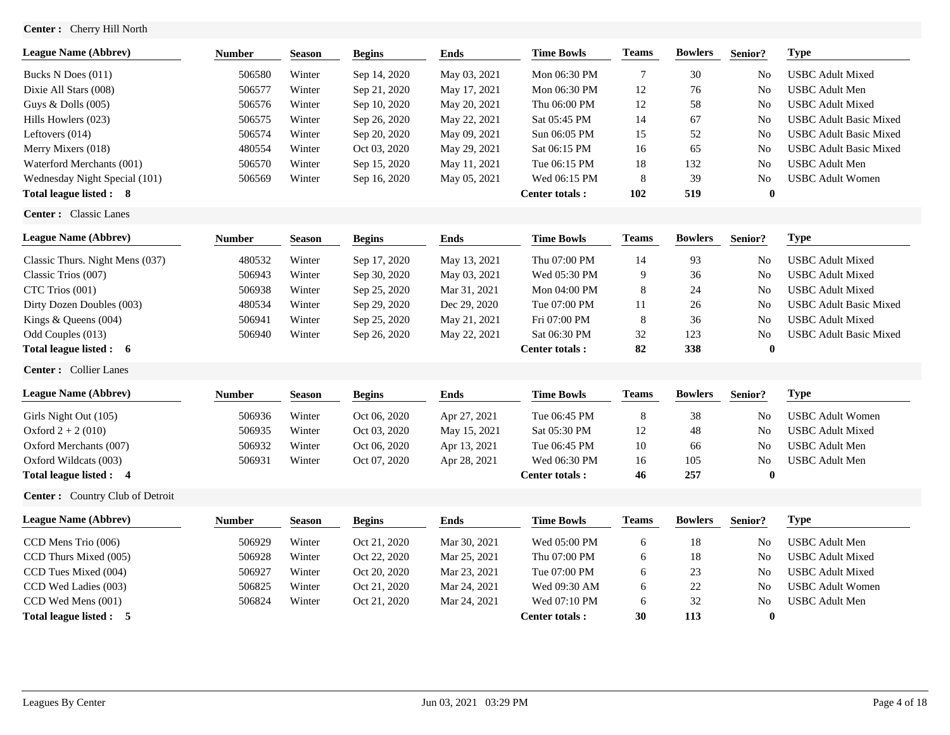# **Center :** Cherry Hill North

| <b>League Name (Abbrev)</b>     | <b>Number</b> | <b>Season</b> | <b>Begins</b> | <b>Ends</b>  | <b>Time Bowls</b>     | <b>Teams</b> | <b>Bowlers</b> | Senior?        | <b>Type</b>                   |
|---------------------------------|---------------|---------------|---------------|--------------|-----------------------|--------------|----------------|----------------|-------------------------------|
| Bucks N Does (011)              | 506580        | Winter        | Sep 14, 2020  | May 03, 2021 | Mon 06:30 PM          | 7            | 30             | No             | <b>USBC</b> Adult Mixed       |
| Dixie All Stars (008)           | 506577        | Winter        | Sep 21, 2020  | May 17, 2021 | Mon 06:30 PM          | 12           | 76             | No             | <b>USBC</b> Adult Men         |
| Guys & Dolls (005)              | 506576        | Winter        | Sep 10, 2020  | May 20, 2021 | Thu 06:00 PM          | 12           | 58             | No             | <b>USBC</b> Adult Mixed       |
| Hills Howlers (023)             | 506575        | Winter        | Sep 26, 2020  | May 22, 2021 | Sat 05:45 PM          | 14           | 67             | No             | <b>USBC</b> Adult Basic Mixed |
| Leftovers (014)                 | 506574        | Winter        | Sep 20, 2020  | May 09, 2021 | Sun 06:05 PM          | 15           | 52             | No             | <b>USBC Adult Basic Mixed</b> |
| Merry Mixers (018)              | 480554        | Winter        | Oct 03, 2020  | May 29, 2021 | Sat 06:15 PM          | 16           | 65             | No             | <b>USBC Adult Basic Mixed</b> |
| Waterford Merchants (001)       | 506570        | Winter        | Sep 15, 2020  | May 11, 2021 | Tue 06:15 PM          | 18           | 132            | No             | <b>USBC</b> Adult Men         |
| Wednesday Night Special (101)   | 506569        | Winter        | Sep 16, 2020  | May 05, 2021 | Wed 06:15 PM          | 8            | 39             | N <sub>0</sub> | <b>USBC Adult Women</b>       |
| Total league listed: 8          |               |               |               |              | <b>Center totals:</b> | 102          | 519            | $\bf{0}$       |                               |
| Center: Classic Lanes           |               |               |               |              |                       |              |                |                |                               |
| <b>League Name (Abbrev)</b>     | <b>Number</b> | <b>Season</b> | <b>Begins</b> | <b>Ends</b>  | <b>Time Bowls</b>     | <b>Teams</b> | <b>Bowlers</b> | Senior?        | <b>Type</b>                   |
| Classic Thurs. Night Mens (037) | 480532        | Winter        | Sep 17, 2020  | May 13, 2021 | Thu 07:00 PM          | 14           | 93             | No             | <b>USBC</b> Adult Mixed       |
| Classic Trios (007)             | 506943        | Winter        | Sep 30, 2020  | May 03, 2021 | Wed 05:30 PM          | 9            | 36             | No             | <b>USBC</b> Adult Mixed       |
| CTC Trios (001)                 | 506938        | Winter        | Sep 25, 2020  | Mar 31, 2021 | Mon 04:00 PM          | 8            | 24             | N <sub>0</sub> | <b>USBC</b> Adult Mixed       |
| Dirty Dozen Doubles (003)       | 480534        | Winter        | Sep 29, 2020  | Dec 29, 2020 | Tue 07:00 PM          | 11           | $26\,$         | No             | <b>USBC Adult Basic Mixed</b> |
| Kings & Queens (004)            | 506941        | Winter        | Sep 25, 2020  | May 21, 2021 | Fri 07:00 PM          | 8            | 36             | No             | <b>USBC</b> Adult Mixed       |
| Odd Couples (013)               | 506940        | Winter        | Sep 26, 2020  | May 22, 2021 | Sat 06:30 PM          | 32           | 123            | N <sub>0</sub> | <b>USBC Adult Basic Mixed</b> |
| Total league listed : 6         |               |               |               |              | <b>Center totals:</b> | 82           | 338            | $\bf{0}$       |                               |
| Center: Collier Lanes           |               |               |               |              |                       |              |                |                |                               |
| <b>League Name (Abbrev)</b>     | <b>Number</b> | <b>Season</b> | <b>Begins</b> | <b>Ends</b>  | <b>Time Bowls</b>     | <b>Teams</b> | <b>Bowlers</b> | Senior?        | <b>Type</b>                   |
| Girls Night Out (105)           | 506936        | Winter        | Oct 06, 2020  | Apr 27, 2021 | Tue 06:45 PM          | 8            | 38             | No             | <b>USBC</b> Adult Women       |
| Oxford $2 + 2(010)$             | 506935        | Winter        | Oct 03, 2020  | May 15, 2021 | Sat 05:30 PM          | 12           | 48             | No             | <b>USBC</b> Adult Mixed       |
| Oxford Merchants (007)          | 506932        | Winter        | Oct 06, 2020  | Apr 13, 2021 | Tue 06:45 PM          | 10           | 66             | N <sub>0</sub> | <b>USBC</b> Adult Men         |
| Oxford Wildcats (003)           | 506931        | Winter        | Oct 07, 2020  | Apr 28, 2021 | Wed 06:30 PM          | 16           | 105            | N <sub>0</sub> | <b>USBC</b> Adult Men         |
| Total league listed: 4          |               |               |               |              | <b>Center totals:</b> | 46           | 257            | $\bf{0}$       |                               |
| Center: Country Club of Detroit |               |               |               |              |                       |              |                |                |                               |
| <b>League Name (Abbrev)</b>     | <b>Number</b> | <b>Season</b> | <b>Begins</b> | <b>Ends</b>  | <b>Time Bowls</b>     | <b>Teams</b> | <b>Bowlers</b> | Senior?        | <b>Type</b>                   |
| CCD Mens Trio (006)             | 506929        | Winter        | Oct 21, 2020  | Mar 30, 2021 | Wed 05:00 PM          | 6            | 18             | No             | <b>USBC</b> Adult Men         |
| CCD Thurs Mixed (005)           | 506928        | Winter        | Oct 22, 2020  | Mar 25, 2021 | Thu 07:00 PM          | 6            | $18\,$         | No             | <b>USBC</b> Adult Mixed       |
| CCD Tues Mixed (004)            | 506927        | Winter        | Oct 20, 2020  | Mar 23, 2021 | Tue 07:00 PM          | 6            | 23             | N <sub>0</sub> | <b>USBC</b> Adult Mixed       |
| CCD Wed Ladies (003)            | 506825        | Winter        | Oct 21, 2020  | Mar 24, 2021 | Wed 09:30 AM          | 6            | $22\,$         | No             | <b>USBC</b> Adult Women       |
| CCD Wed Mens (001)              | 506824        | Winter        | Oct 21, 2020  | Mar 24, 2021 | Wed 07:10 PM          | 6            | 32             | N <sub>0</sub> | <b>USBC</b> Adult Men         |
| Total league listed : 5         |               |               |               |              | Center totals:        | 30           | 113            | $\bf{0}$       |                               |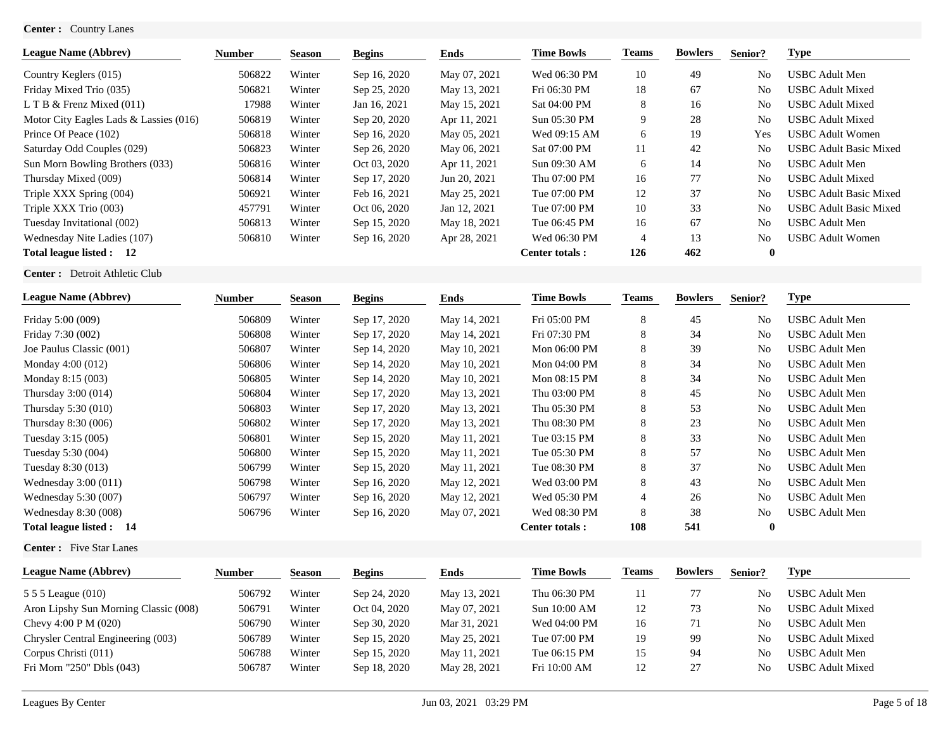## **Center :** Country Lanes

| <b>League Name (Abbrev)</b>            | <b>Number</b> | <b>Season</b> | <b>Begins</b> | Ends         | <b>Time Bowls</b> | Teams | <b>Bowlers</b> | Senior?        | Type                          |
|----------------------------------------|---------------|---------------|---------------|--------------|-------------------|-------|----------------|----------------|-------------------------------|
| Country Keglers (015)                  | 506822        | Winter        | Sep 16, 2020  | May 07, 2021 | Wed 06:30 PM      | 10    | 49             | N <sub>0</sub> | <b>USBC</b> Adult Men         |
| Friday Mixed Trio (035)                | 506821        | Winter        | Sep 25, 2020  | May 13, 2021 | Fri 06:30 PM      | 18    | 67             | N <sub>0</sub> | <b>USBC</b> Adult Mixed       |
| L T B $&$ Frenz Mixed (011)            | 17988         | Winter        | Jan 16, 2021  | May 15, 2021 | Sat 04:00 PM      | 8     | 16             | N <sub>0</sub> | <b>USBC Adult Mixed</b>       |
| Motor City Eagles Lads & Lassies (016) | 506819        | Winter        | Sep 20, 2020  | Apr 11, 2021 | Sun 05:30 PM      | 9     | 28             | N <sub>0</sub> | <b>USBC Adult Mixed</b>       |
| Prince Of Peace (102)                  | 506818        | Winter        | Sep 16, 2020  | May 05, 2021 | Wed 09:15 AM      | 6     | 19             | Yes            | <b>USBC Adult Women</b>       |
| Saturday Odd Couples (029)             | 506823        | Winter        | Sep 26, 2020  | May 06, 2021 | Sat 07:00 PM      | 11    | 42             | N <sub>0</sub> | <b>USBC Adult Basic Mixed</b> |
| Sun Morn Bowling Brothers (033)        | 506816        | Winter        | Oct 03, 2020  | Apr 11, 2021 | Sun 09:30 AM      | 6     | 14             | N <sub>0</sub> | <b>USBC</b> Adult Men         |
| Thursday Mixed (009)                   | 506814        | Winter        | Sep 17, 2020  | Jun 20, 2021 | Thu 07:00 PM      | 16    | 77             | N <sub>0</sub> | <b>USBC Adult Mixed</b>       |
| Triple XXX Spring (004)                | 506921        | Winter        | Feb 16, 2021  | May 25, 2021 | Tue 07:00 PM      | 12    | 37             | N <sub>0</sub> | <b>USBC Adult Basic Mixed</b> |
| Triple XXX Trio (003)                  | 457791        | Winter        | Oct 06, 2020  | Jan 12, 2021 | Tue 07:00 PM      | 10    | 33             | N <sub>0</sub> | <b>USBC Adult Basic Mixed</b> |
| Tuesday Invitational (002)             | 506813        | Winter        | Sep 15, 2020  | May 18, 2021 | Tue 06:45 PM      | 16    | 67             | N <sub>0</sub> | <b>USBC</b> Adult Men         |
| Wednesday Nite Ladies (107)            | 506810        | Winter        | Sep 16, 2020  | Apr 28, 2021 | Wed 06:30 PM      | 4     | 13             | N <sub>0</sub> | <b>USBC Adult Women</b>       |
| Total league listed : 12               |               |               |               |              | Center totals:    | 126   | 462            | $\mathbf{0}$   |                               |

**Center :** Detroit Athletic Club

| <b>League Name (Abbrev)</b> | Number | <b>Season</b> | <b>Begins</b> | Ends         | <b>Time Bowls</b> | <b>Teams</b> | <b>Bowlers</b> | Senior?        | Type                  |
|-----------------------------|--------|---------------|---------------|--------------|-------------------|--------------|----------------|----------------|-----------------------|
| Friday 5:00 (009)           | 506809 | Winter        | Sep 17, 2020  | May 14, 2021 | Fri 05:00 PM      | 8            | 45             | N <sub>0</sub> | <b>USBC</b> Adult Men |
| Friday 7:30 (002)           | 506808 | Winter        | Sep 17, 2020  | May 14, 2021 | Fri 07:30 PM      | 8            | 34             | N <sub>0</sub> | <b>USBC Adult Men</b> |
| Joe Paulus Classic (001)    | 506807 | Winter        | Sep 14, 2020  | May 10, 2021 | Mon 06:00 PM      | 8            | 39             | N <sub>0</sub> | <b>USBC</b> Adult Men |
| Monday 4:00 (012)           | 506806 | Winter        | Sep 14, 2020  | May 10, 2021 | Mon 04:00 PM      | 8            | 34             | No             | <b>USBC</b> Adult Men |
| Monday 8:15 (003)           | 506805 | Winter        | Sep 14, 2020  | May 10, 2021 | Mon 08:15 PM      | 8            | 34             | No             | <b>USBC</b> Adult Men |
| Thursday 3:00 (014)         | 506804 | Winter        | Sep 17, 2020  | May 13, 2021 | Thu 03:00 PM      | 8            | 45             | No             | <b>USBC</b> Adult Men |
| Thursday 5:30 (010)         | 506803 | Winter        | Sep 17, 2020  | May 13, 2021 | Thu 05:30 PM      | 8            | 53             | N <sub>0</sub> | <b>USBC</b> Adult Men |
| Thursday 8:30 (006)         | 506802 | Winter        | Sep 17, 2020  | May 13, 2021 | Thu 08:30 PM      | 8            | 23             | N <sub>0</sub> | <b>USBC</b> Adult Men |
| Tuesday 3:15 (005)          | 506801 | Winter        | Sep 15, 2020  | May 11, 2021 | Tue 03:15 PM      | 8            | 33             | N <sub>0</sub> | <b>USBC</b> Adult Men |
| Tuesday 5:30 (004)          | 506800 | Winter        | Sep 15, 2020  | May 11, 2021 | Tue 05:30 PM      | 8            | 57             | N <sub>0</sub> | <b>USBC</b> Adult Men |
| Tuesday 8:30 (013)          | 506799 | Winter        | Sep 15, 2020  | May 11, 2021 | Tue 08:30 PM      | 8            | 37             | N <sub>0</sub> | <b>USBC</b> Adult Men |
| Wednesday $3:00(011)$       | 506798 | Winter        | Sep 16, 2020  | May 12, 2021 | Wed 03:00 PM      | 8            | 43             | N <sub>0</sub> | <b>USBC Adult Men</b> |
| Wednesday 5:30 (007)        | 506797 | Winter        | Sep 16, 2020  | May 12, 2021 | Wed 05:30 PM      | 4            | 26             | N <sub>0</sub> | <b>USBC</b> Adult Men |
| Wednesday 8:30 (008)        | 506796 | Winter        | Sep 16, 2020  | May 07, 2021 | Wed 08:30 PM      | 8            | 38             | N <sub>o</sub> | <b>USBC</b> Adult Men |
| Total league listed : 14    |        |               |               |              | Center totals:    | 108          | 541            | $\mathbf{0}$   |                       |

**Center :** Five Star Lanes

| <b>League Name (Abbrey)</b>           | Number | <b>Season</b> | <b>Begins</b> | Ends         | <b>Time Bowls</b> | Teams | <b>Bowlers</b> | Senior?        | Type                    |
|---------------------------------------|--------|---------------|---------------|--------------|-------------------|-------|----------------|----------------|-------------------------|
| 5 5 5 League (010)                    | 506792 | Winter        | Sep 24, 2020  | May 13, 2021 | Thu 06:30 PM      |       | 77             | N <sub>0</sub> | USBC Adult Men-         |
| Aron Lipshy Sun Morning Classic (008) | 506791 | Winter        | Oct 04, 2020  | May 07, 2021 | Sun 10:00 AM      | 12    | 73             | No             | USBC Adult Mixed        |
| Chevy 4:00 P M $(020)$                | 506790 | Winter        | Sep 30, 2020  | Mar 31, 2021 | Wed 04:00 PM      | 16    | 71             | No             | USBC Adult Men          |
| Chrysler Central Engineering (003)    | 506789 | Winter        | Sep 15, 2020  | May 25, 2021 | Tue 07:00 PM      | 19    | 99             | N <sub>0</sub> | USBC Adult Mixed        |
| Corpus Christi (011)                  | 506788 | Winter        | Sep 15, 2020  | May 11, 2021 | Tue 06:15 PM      | 15    | -94            | N <sub>0</sub> | USBC Adult Men          |
| Fri Morn "250" Dbls (043)             | 506787 | Winter        | Sep 18, 2020  | May 28, 2021 | Fri 10:00 AM      | 12    | 27             | No             | <b>USBC Adult Mixed</b> |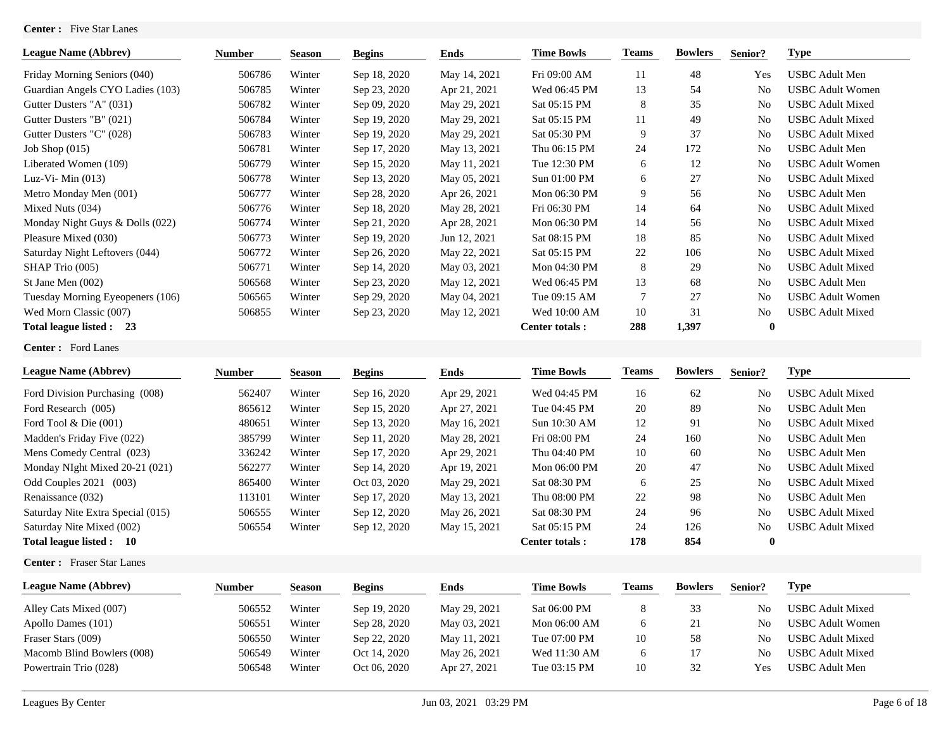## **Center :** Five Star Lanes

| <b>League Name (Abbrev)</b>      | <b>Number</b> | <b>Season</b> | <b>Begins</b> | <b>Ends</b>  | <b>Time Bowls</b>     | Teams | <b>Bowlers</b> | Senior?        | <b>Type</b>             |
|----------------------------------|---------------|---------------|---------------|--------------|-----------------------|-------|----------------|----------------|-------------------------|
| Friday Morning Seniors (040)     | 506786        | Winter        | Sep 18, 2020  | May 14, 2021 | Fri 09:00 AM          | 11    | 48             | Yes            | <b>USBC</b> Adult Men   |
| Guardian Angels CYO Ladies (103) | 506785        | Winter        | Sep 23, 2020  | Apr 21, 2021 | Wed 06:45 PM          | 13    | 54             | N <sub>0</sub> | <b>USBC Adult Women</b> |
| Gutter Dusters "A" (031)         | 506782        | Winter        | Sep 09, 2020  | May 29, 2021 | Sat 05:15 PM          | 8     | 35             | N <sub>0</sub> | <b>USBC</b> Adult Mixed |
| Gutter Dusters "B" (021)         | 506784        | Winter        | Sep 19, 2020  | May 29, 2021 | Sat 05:15 PM          | 11    | 49             | N <sub>0</sub> | <b>USBC</b> Adult Mixed |
| Gutter Dusters "C" (028)         | 506783        | Winter        | Sep 19, 2020  | May 29, 2021 | Sat 05:30 PM          | 9     | 37             | N <sub>0</sub> | <b>USBC</b> Adult Mixed |
| Job Shop $(015)$                 | 506781        | Winter        | Sep 17, 2020  | May 13, 2021 | Thu 06:15 PM          | 24    | 172            | N <sub>0</sub> | <b>USBC</b> Adult Men   |
| Liberated Women (109)            | 506779        | Winter        | Sep 15, 2020  | May 11, 2021 | Tue 12:30 PM          | 6     | 12             | N <sub>0</sub> | <b>USBC Adult Women</b> |
| Luz-Vi-Min $(013)$               | 506778        | Winter        | Sep 13, 2020  | May 05, 2021 | Sun 01:00 PM          | 6     | 27             | N <sub>0</sub> | <b>USBC</b> Adult Mixed |
| Metro Monday Men (001)           | 506777        | Winter        | Sep 28, 2020  | Apr 26, 2021 | Mon 06:30 PM          | 9     | 56             | N <sub>0</sub> | <b>USBC</b> Adult Men   |
| Mixed Nuts (034)                 | 506776        | Winter        | Sep 18, 2020  | May 28, 2021 | Fri 06:30 PM          | 14    | 64             | N <sub>0</sub> | <b>USBC</b> Adult Mixed |
| Monday Night Guys & Dolls (022)  | 506774        | Winter        | Sep 21, 2020  | Apr 28, 2021 | Mon 06:30 PM          | 14    | 56             | N <sub>0</sub> | <b>USBC</b> Adult Mixed |
| Pleasure Mixed (030)             | 506773        | Winter        | Sep 19, 2020  | Jun 12, 2021 | Sat 08:15 PM          | 18    | 85             | N <sub>0</sub> | <b>USBC</b> Adult Mixed |
| Saturday Night Leftovers (044)   | 506772        | Winter        | Sep 26, 2020  | May 22, 2021 | Sat 05:15 PM          | 22    | 106            | N <sub>0</sub> | <b>USBC</b> Adult Mixed |
| SHAP Trio (005)                  | 506771        | Winter        | Sep 14, 2020  | May 03, 2021 | Mon 04:30 PM          | 8     | 29             | N <sub>0</sub> | <b>USBC Adult Mixed</b> |
| St Jane Men (002)                | 506568        | Winter        | Sep 23, 2020  | May 12, 2021 | Wed 06:45 PM          | 13    | 68             | N <sub>0</sub> | <b>USBC</b> Adult Men   |
| Tuesday Morning Eyeopeners (106) | 506565        | Winter        | Sep 29, 2020  | May 04, 2021 | Tue 09:15 AM          | 7     | 27             | N <sub>0</sub> | <b>USBC Adult Women</b> |
| Wed Morn Classic (007)           | 506855        | Winter        | Sep 23, 2020  | May 12, 2021 | Wed 10:00 AM          | 10    | 31             | N <sub>0</sub> | <b>USBC Adult Mixed</b> |
| Total league listed :<br>-23     |               |               |               |              | <b>Center totals:</b> | 288   | 1,397          | $\bf{0}$       |                         |

**Center :** Ford Lanes

| <b>League Name (Abbrev)</b>       | <b>Number</b> | <b>Season</b> | <b>Begins</b> | Ends         | <b>Time Bowls</b> | <b>Teams</b> | <b>Bowlers</b> | Senior?        | <b>Type</b>             |
|-----------------------------------|---------------|---------------|---------------|--------------|-------------------|--------------|----------------|----------------|-------------------------|
| Ford Division Purchasing (008)    | 562407        | Winter        | Sep 16, 2020  | Apr 29, 2021 | Wed 04:45 PM      | 16           | 62             | No             | USBC Adult Mixed        |
| Ford Research (005)               | 865612        | Winter        | Sep 15, 2020  | Apr 27, 2021 | Tue 04:45 PM      | 20           | 89             | N <sub>0</sub> | <b>USBC</b> Adult Men   |
| Ford Tool $&$ Die $(001)$         | 480651        | Winter        | Sep 13, 2020  | May 16, 2021 | Sun 10:30 AM      | 12           | 91             | N <sub>0</sub> | USBC Adult Mixed        |
| Madden's Friday Five (022)        | 385799        | Winter        | Sep 11, 2020  | May 28, 2021 | Fri 08:00 PM      | 24           | 160            | N <sub>0</sub> | USBC Adult Men          |
| Mens Comedy Central (023)         | 336242        | Winter        | Sep 17, 2020  | Apr 29, 2021 | Thu 04:40 PM      | 10           | 60             | N <sub>0</sub> | USBC Adult Men          |
| Monday NIght Mixed 20-21 (021)    | 562277        | Winter        | Sep 14, 2020  | Apr 19, 2021 | Mon 06:00 PM      | 20           | 47             | N <sub>o</sub> | USBC Adult Mixed        |
| Odd Couples 2021<br>(003)         | 865400        | Winter        | Oct 03, 2020  | May 29, 2021 | Sat 08:30 PM      | 6            | 25             | N <sub>o</sub> | USBC Adult Mixed        |
| Renaissance (032)                 | 113101        | Winter        | Sep 17, 2020  | May 13, 2021 | Thu 08:00 PM      | 22           | 98             | N <sub>0</sub> | <b>USBC Adult Men</b>   |
| Saturday Nite Extra Special (015) | 506555        | Winter        | Sep 12, 2020  | May 26, 2021 | Sat 08:30 PM      | 24           | 96             | N <sub>0</sub> | <b>USBC Adult Mixed</b> |
| Saturday Nite Mixed (002)         | 506554        | Winter        | Sep 12, 2020  | May 15, 2021 | Sat 05:15 PM      | 24           | 126            | N <sub>o</sub> | USBC Adult Mixed        |
| Total league listed :<br>-10      |               |               |               |              | Center totals:    | 178          | 854            | $\mathbf{0}$   |                         |

**Center :** Fraser Star Lanes

| <b>League Name (Abbrev)</b> | Number | <b>Season</b> | <b>Begins</b> | Ends         | <b>Time Bowls</b> | <b>Teams</b> | <b>Bowlers</b> | Senior?        | Type                    |
|-----------------------------|--------|---------------|---------------|--------------|-------------------|--------------|----------------|----------------|-------------------------|
| Alley Cats Mixed (007)      | 506552 | Winter        | Sep 19, 2020  | May 29, 2021 | Sat 06:00 PM      | 8            | 33             | No             | <b>USBC Adult Mixed</b> |
| Apollo Dames (101)          | 506551 | Winter        | Sep 28, 2020  | May 03, 2021 | Mon 06:00 AM      | O            | 21             | N <sub>0</sub> | <b>USBC Adult Women</b> |
| Fraser Stars (009)          | 506550 | Winter        | Sep 22, 2020  | May 11, 2021 | Tue 07:00 PM      | 10           | 58             | No             | <b>USBC Adult Mixed</b> |
| Macomb Blind Bowlers (008)  | 506549 | Winter        | Oct 14, 2020  | May 26, 2021 | Wed 11:30 AM      | O            |                | No             | <b>USBC Adult Mixed</b> |
| Powertrain Trio (028)       | 506548 | Winter        | Oct 06, 2020  | Apr 27, 2021 | Tue 03:15 PM      | 10           | 32             | Yes            | <b>USBC</b> Adult Men   |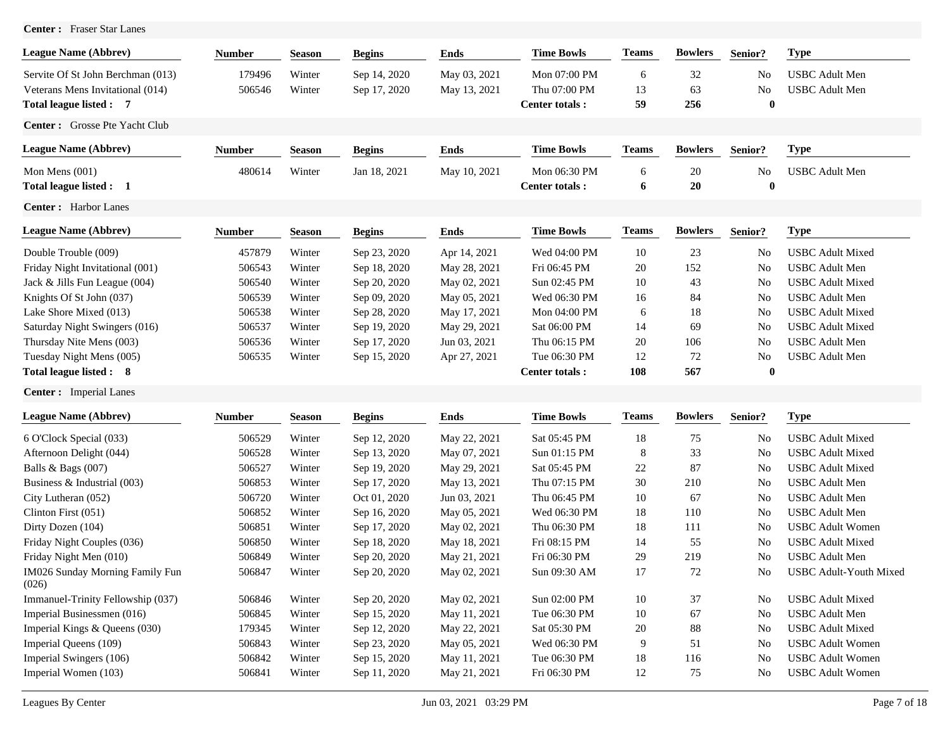| Center: Fraser Star Lanes                |               |               |               |              |                       |              |                |                |                         |
|------------------------------------------|---------------|---------------|---------------|--------------|-----------------------|--------------|----------------|----------------|-------------------------|
| <b>League Name (Abbrev)</b>              | <b>Number</b> | <b>Season</b> | <b>Begins</b> | <b>Ends</b>  | <b>Time Bowls</b>     | <b>Teams</b> | <b>Bowlers</b> | Senior?        | <b>Type</b>             |
| Servite Of St John Berchman (013)        | 179496        | Winter        | Sep 14, 2020  | May 03, 2021 | Mon 07:00 PM          | 6            | 32             | No             | <b>USBC</b> Adult Men   |
| Veterans Mens Invitational (014)         | 506546        | Winter        | Sep 17, 2020  | May 13, 2021 | Thu 07:00 PM          | 13           | 63             | No             | <b>USBC</b> Adult Men   |
| Total league listed : 7                  |               |               |               |              | <b>Center totals:</b> | 59           | 256            | $\bf{0}$       |                         |
| Center: Grosse Pte Yacht Club            |               |               |               |              |                       |              |                |                |                         |
| <b>League Name (Abbrev)</b>              | <b>Number</b> | <b>Season</b> | <b>Begins</b> | <b>Ends</b>  | <b>Time Bowls</b>     | <b>Teams</b> | <b>Bowlers</b> | Senior?        | <b>Type</b>             |
| Mon Mens $(001)$                         | 480614        | Winter        | Jan 18, 2021  | May 10, 2021 | Mon 06:30 PM          | 6            | 20             | No             | <b>USBC</b> Adult Men   |
| Total league listed : 1                  |               |               |               |              | <b>Center totals:</b> | 6            | 20             | $\bf{0}$       |                         |
| Center: Harbor Lanes                     |               |               |               |              |                       |              |                |                |                         |
| <b>League Name (Abbrev)</b>              | <b>Number</b> | <b>Season</b> | <b>Begins</b> | <b>Ends</b>  | <b>Time Bowls</b>     | <b>Teams</b> | <b>Bowlers</b> | Senior?        | <b>Type</b>             |
| Double Trouble (009)                     | 457879        | Winter        | Sep 23, 2020  | Apr 14, 2021 | Wed 04:00 PM          | 10           | 23             | N <sub>0</sub> | <b>USBC</b> Adult Mixed |
| Friday Night Invitational (001)          | 506543        | Winter        | Sep 18, 2020  | May 28, 2021 | Fri 06:45 PM          | 20           | 152            | No             | <b>USBC</b> Adult Men   |
| Jack & Jills Fun League (004)            | 506540        | Winter        | Sep 20, 2020  | May 02, 2021 | Sun 02:45 PM          | 10           | 43             | No             | <b>USBC</b> Adult Mixed |
| Knights Of St John (037)                 | 506539        | Winter        | Sep 09, 2020  | May 05, 2021 | Wed 06:30 PM          | 16           | 84             | No             | <b>USBC</b> Adult Men   |
| Lake Shore Mixed (013)                   | 506538        | Winter        | Sep 28, 2020  | May 17, 2021 | Mon 04:00 PM          | 6            | 18             | No             | <b>USBC</b> Adult Mixed |
| Saturday Night Swingers (016)            | 506537        | Winter        | Sep 19, 2020  | May 29, 2021 | Sat 06:00 PM          | 14           | 69             | No             | <b>USBC</b> Adult Mixed |
| Thursday Nite Mens (003)                 | 506536        | Winter        | Sep 17, 2020  | Jun 03, 2021 | Thu 06:15 PM          | 20           | 106            | No             | <b>USBC</b> Adult Men   |
| Tuesday Night Mens (005)                 | 506535        | Winter        | Sep 15, 2020  | Apr 27, 2021 | Tue 06:30 PM          | 12           | 72             | No             | <b>USBC</b> Adult Men   |
| Total league listed : 8                  |               |               |               |              | Center totals:        | 108          | 567            | $\bf{0}$       |                         |
| <b>Center:</b> Imperial Lanes            |               |               |               |              |                       |              |                |                |                         |
| <b>League Name (Abbrev)</b>              | <b>Number</b> | <b>Season</b> | <b>Begins</b> | <b>Ends</b>  | <b>Time Bowls</b>     | <b>Teams</b> | <b>Bowlers</b> | Senior?        | <b>Type</b>             |
| 6 O'Clock Special (033)                  | 506529        | Winter        | Sep 12, 2020  | May 22, 2021 | Sat 05:45 PM          | 18           | 75             | No             | <b>USBC</b> Adult Mixed |
| Afternoon Delight (044)                  | 506528        | Winter        | Sep 13, 2020  | May 07, 2021 | Sun 01:15 PM          | 8            | 33             | No             | <b>USBC</b> Adult Mixed |
| Balls & Bags (007)                       | 506527        | Winter        | Sep 19, 2020  | May 29, 2021 | Sat 05:45 PM          | 22           | 87             | No             | <b>USBC</b> Adult Mixed |
| Business & Industrial (003)              | 506853        | Winter        | Sep 17, 2020  | May 13, 2021 | Thu 07:15 PM          | 30           | 210            | No             | <b>USBC</b> Adult Men   |
| City Lutheran (052)                      | 506720        | Winter        | Oct 01, 2020  | Jun 03, 2021 | Thu 06:45 PM          | 10           | 67             | No             | <b>USBC</b> Adult Men   |
| Clinton First (051)                      | 506852        | Winter        | Sep 16, 2020  | May 05, 2021 | Wed 06:30 PM          | 18           | 110            | No             | <b>USBC</b> Adult Men   |
| Dirty Dozen (104)                        | 506851        | Winter        | Sep 17, 2020  | May 02, 2021 | Thu 06:30 PM          | 18           | 111            | No             | <b>USBC</b> Adult Women |
| Friday Night Couples (036)               | 506850        | Winter        | Sep 18, 2020  | May 18, 2021 | Fri 08:15 PM          | 14           | 55             | N <sub>o</sub> | <b>USBC</b> Adult Mixed |
| Friday Night Men (010)                   | 506849        | Winter        | Sep 20, 2020  | May 21, 2021 | Fri 06:30 PM          | 29           | 219            | No             | <b>USBC</b> Adult Men   |
| IM026 Sunday Morning Family Fun<br>(026) | 506847        | Winter        | Sep 20, 2020  | May 02, 2021 | Sun 09:30 AM          | 17           | 72             | No             | USBC Adult-Youth Mixed  |
| Immanuel-Trinity Fellowship (037)        | 506846        | Winter        | Sep 20, 2020  | May 02, 2021 | Sun 02:00 PM          | 10           | 37             | No             | <b>USBC</b> Adult Mixed |
| Imperial Businessmen (016)               | 506845        | Winter        | Sep 15, 2020  | May 11, 2021 | Tue 06:30 PM          | $10\,$       | 67             | No             | <b>USBC</b> Adult Men   |
| Imperial Kings & Queens (030)            | 179345        | Winter        | Sep 12, 2020  | May 22, 2021 | Sat 05:30 PM          | 20           | 88             | No             | <b>USBC</b> Adult Mixed |
| Imperial Queens (109)                    | 506843        | Winter        | Sep 23, 2020  | May 05, 2021 | Wed 06:30 PM          | 9            | 51             | No             | <b>USBC</b> Adult Women |
| Imperial Swingers (106)                  | 506842        | Winter        | Sep 15, 2020  | May 11, 2021 | Tue 06:30 PM          | 18           | 116            | No             | <b>USBC</b> Adult Women |
| Imperial Women (103)                     | 506841        | Winter        | Sep 11, 2020  | May 21, 2021 | Fri 06:30 PM          | 12           | 75             | No             | <b>USBC</b> Adult Women |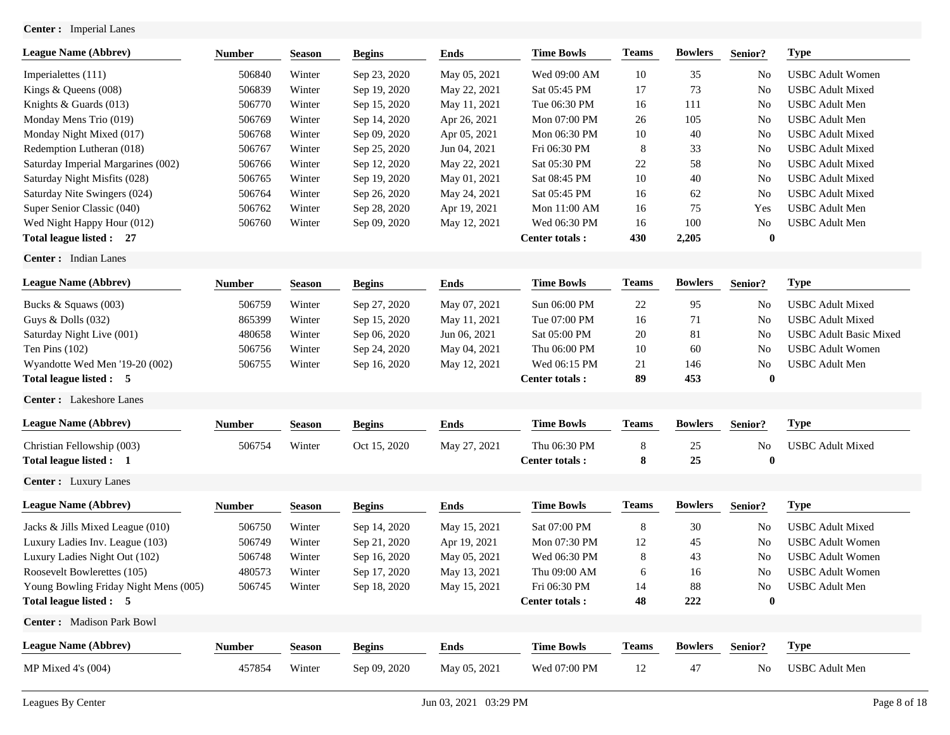**Center :** Imperial Lanes

| <b>League Name (Abbrev)</b>           | <b>Number</b> | <b>Season</b> | <b>Begins</b> | <b>Ends</b>  | <b>Time Bowls</b>     | <b>Teams</b> | <b>Bowlers</b> | Senior?        | <b>Type</b>                   |
|---------------------------------------|---------------|---------------|---------------|--------------|-----------------------|--------------|----------------|----------------|-------------------------------|
| Imperialettes (111)                   | 506840        | Winter        | Sep 23, 2020  | May 05, 2021 | Wed 09:00 AM          | 10           | 35             | No             | <b>USBC</b> Adult Women       |
| Kings & Queens (008)                  | 506839        | Winter        | Sep 19, 2020  | May 22, 2021 | Sat 05:45 PM          | 17           | 73             | No             | <b>USBC</b> Adult Mixed       |
| Knights & Guards (013)                | 506770        | Winter        | Sep 15, 2020  | May 11, 2021 | Tue 06:30 PM          | 16           | 111            | No             | <b>USBC</b> Adult Men         |
| Monday Mens Trio (019)                | 506769        | Winter        | Sep 14, 2020  | Apr 26, 2021 | Mon 07:00 PM          | 26           | 105            | No             | <b>USBC</b> Adult Men         |
| Monday Night Mixed (017)              | 506768        | Winter        | Sep 09, 2020  | Apr 05, 2021 | Mon 06:30 PM          | 10           | 40             | No             | <b>USBC</b> Adult Mixed       |
| Redemption Lutheran (018)             | 506767        | Winter        | Sep 25, 2020  | Jun 04, 2021 | Fri 06:30 PM          | 8            | 33             | N <sub>0</sub> | <b>USBC</b> Adult Mixed       |
| Saturday Imperial Margarines (002)    | 506766        | Winter        | Sep 12, 2020  | May 22, 2021 | Sat 05:30 PM          | 22           | 58             | N <sub>0</sub> | <b>USBC</b> Adult Mixed       |
| Saturday Night Misfits (028)          | 506765        | Winter        | Sep 19, 2020  | May 01, 2021 | Sat 08:45 PM          | 10           | 40             | N <sub>0</sub> | <b>USBC</b> Adult Mixed       |
| Saturday Nite Swingers (024)          | 506764        | Winter        | Sep 26, 2020  | May 24, 2021 | Sat 05:45 PM          | 16           | 62             | No             | <b>USBC</b> Adult Mixed       |
| Super Senior Classic (040)            | 506762        | Winter        | Sep 28, 2020  | Apr 19, 2021 | Mon 11:00 AM          | 16           | 75             | Yes            | <b>USBC</b> Adult Men         |
| Wed Night Happy Hour (012)            | 506760        | Winter        | Sep 09, 2020  | May 12, 2021 | Wed 06:30 PM          | 16           | 100            | No             | <b>USBC</b> Adult Men         |
| Total league listed : 27              |               |               |               |              | Center totals:        | 430          | 2,205          | $\bf{0}$       |                               |
| Center: Indian Lanes                  |               |               |               |              |                       |              |                |                |                               |
| <b>League Name (Abbrev)</b>           | <b>Number</b> | <b>Season</b> | <b>Begins</b> | <b>Ends</b>  | <b>Time Bowls</b>     | <b>Teams</b> | <b>Bowlers</b> | Senior?        | <b>Type</b>                   |
| Bucks & Squaws (003)                  | 506759        | Winter        | Sep 27, 2020  | May 07, 2021 | Sun 06:00 PM          | 22           | 95             | No.            | <b>USBC</b> Adult Mixed       |
| Guys & Dolls (032)                    | 865399        | Winter        | Sep 15, 2020  | May 11, 2021 | Tue 07:00 PM          | 16           | 71             | No             | <b>USBC</b> Adult Mixed       |
| Saturday Night Live (001)             | 480658        | Winter        | Sep 06, 2020  | Jun 06, 2021 | Sat 05:00 PM          | 20           | 81             | No             | <b>USBC</b> Adult Basic Mixed |
| Ten Pins $(102)$                      | 506756        | Winter        | Sep 24, 2020  | May 04, 2021 | Thu 06:00 PM          | 10           | 60             | No             | <b>USBC</b> Adult Women       |
| Wyandotte Wed Men '19-20 (002)        | 506755        | Winter        | Sep 16, 2020  | May 12, 2021 | Wed 06:15 PM          | 21           | 146            | No             | <b>USBC</b> Adult Men         |
| Total league listed : 5               |               |               |               |              | <b>Center totals:</b> | 89           | 453            | $\bf{0}$       |                               |
| Center: Lakeshore Lanes               |               |               |               |              |                       |              |                |                |                               |
| <b>League Name (Abbrev)</b>           | <b>Number</b> | <b>Season</b> | <b>Begins</b> | <b>Ends</b>  | <b>Time Bowls</b>     | <b>Teams</b> | <b>Bowlers</b> | Senior?        | <b>Type</b>                   |
| Christian Fellowship (003)            | 506754        | Winter        | Oct 15, 2020  | May 27, 2021 | Thu 06:30 PM          | 8            | 25             | No             | <b>USBC</b> Adult Mixed       |
| Total league listed : 1               |               |               |               |              | <b>Center totals:</b> | 8            | 25             | $\bf{0}$       |                               |
| <b>Center:</b> Luxury Lanes           |               |               |               |              |                       |              |                |                |                               |
| <b>League Name (Abbrev)</b>           | <b>Number</b> | <b>Season</b> | <b>Begins</b> | <b>Ends</b>  | <b>Time Bowls</b>     | <b>Teams</b> | <b>Bowlers</b> | Senior?        | <b>Type</b>                   |
| Jacks & Jills Mixed League (010)      | 506750        | Winter        | Sep 14, 2020  | May 15, 2021 | Sat 07:00 PM          | 8            | 30             | No             | <b>USBC</b> Adult Mixed       |
| Luxury Ladies Inv. League (103)       | 506749        | Winter        | Sep 21, 2020  | Apr 19, 2021 | Mon 07:30 PM          | 12           | 45             | No             | <b>USBC</b> Adult Women       |
| Luxury Ladies Night Out (102)         | 506748        | Winter        | Sep 16, 2020  | May 05, 2021 | Wed 06:30 PM          | 8            | 43             | No             | <b>USBC</b> Adult Women       |
| Roosevelt Bowlerettes (105)           | 480573        | Winter        | Sep 17, 2020  | May 13, 2021 | Thu 09:00 AM          | 6            | 16             | N <sub>0</sub> | <b>USBC</b> Adult Women       |
| Young Bowling Friday Night Mens (005) | 506745        | Winter        | Sep 18, 2020  | May 15, 2021 | Fri 06:30 PM          | 14           | 88             | No             | <b>USBC</b> Adult Men         |
| Total league listed : 5               |               |               |               |              | <b>Center totals:</b> | 48           | $222\,$        | $\bf{0}$       |                               |
| Center: Madison Park Bowl             |               |               |               |              |                       |              |                |                |                               |
| <b>League Name (Abbrev)</b>           | <b>Number</b> | <b>Season</b> | <b>Begins</b> | <b>Ends</b>  | <b>Time Bowls</b>     | <b>Teams</b> | <b>Bowlers</b> | Senior?        | <b>Type</b>                   |
| MP Mixed 4's (004)                    | 457854        | Winter        | Sep 09, 2020  | May 05, 2021 | Wed 07:00 PM          | 12           | 47             | No             | <b>USBC</b> Adult Men         |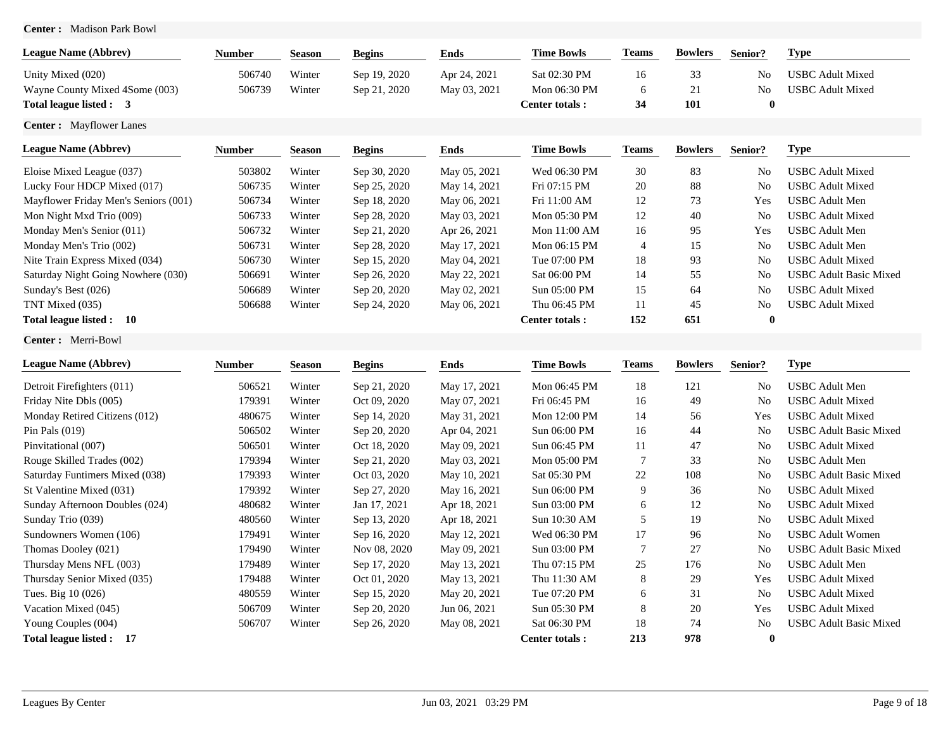# **Center :** Madison Park Bowl

| <b>League Name (Abbrev)</b>          | <b>Number</b> | <b>Season</b> | <b>Begins</b> | <b>Ends</b>  | <b>Time Bowls</b>     | <b>Teams</b>   | <b>Bowlers</b> | Senior?        | <b>Type</b>                   |
|--------------------------------------|---------------|---------------|---------------|--------------|-----------------------|----------------|----------------|----------------|-------------------------------|
| Unity Mixed (020)                    | 506740        | Winter        | Sep 19, 2020  | Apr 24, 2021 | Sat 02:30 PM          | 16             | 33             | No             | <b>USBC</b> Adult Mixed       |
| Wayne County Mixed 4Some (003)       | 506739        | Winter        | Sep 21, 2020  | May 03, 2021 | Mon 06:30 PM          | 6              | 21             | No             | <b>USBC</b> Adult Mixed       |
| Total league listed : 3              |               |               |               |              | <b>Center totals:</b> | 34             | 101            | $\bf{0}$       |                               |
| Center: Mayflower Lanes              |               |               |               |              |                       |                |                |                |                               |
| <b>League Name (Abbrev)</b>          | <b>Number</b> | <b>Season</b> | <b>Begins</b> | <b>Ends</b>  | <b>Time Bowls</b>     | <b>Teams</b>   | <b>Bowlers</b> | Senior?        | <b>Type</b>                   |
| Eloise Mixed League (037)            | 503802        | Winter        | Sep 30, 2020  | May 05, 2021 | Wed 06:30 PM          | 30             | 83             | No             | <b>USBC</b> Adult Mixed       |
| Lucky Four HDCP Mixed (017)          | 506735        | Winter        | Sep 25, 2020  | May 14, 2021 | Fri 07:15 PM          | 20             | 88             | No             | <b>USBC</b> Adult Mixed       |
| Mayflower Friday Men's Seniors (001) | 506734        | Winter        | Sep 18, 2020  | May 06, 2021 | Fri 11:00 AM          | 12             | 73             | Yes            | <b>USBC</b> Adult Men         |
| Mon Night Mxd Trio (009)             | 506733        | Winter        | Sep 28, 2020  | May 03, 2021 | Mon 05:30 PM          | 12             | 40             | N <sub>0</sub> | <b>USBC</b> Adult Mixed       |
| Monday Men's Senior (011)            | 506732        | Winter        | Sep 21, 2020  | Apr 26, 2021 | Mon 11:00 AM          | 16             | 95             | Yes            | <b>USBC</b> Adult Men         |
| Monday Men's Trio (002)              | 506731        | Winter        | Sep 28, 2020  | May 17, 2021 | Mon 06:15 PM          | $\overline{4}$ | 15             | N <sub>o</sub> | <b>USBC</b> Adult Men         |
| Nite Train Express Mixed (034)       | 506730        | Winter        | Sep 15, 2020  | May 04, 2021 | Tue 07:00 PM          | 18             | 93             | No             | <b>USBC</b> Adult Mixed       |
| Saturday Night Going Nowhere (030)   | 506691        | Winter        | Sep 26, 2020  | May 22, 2021 | Sat 06:00 PM          | 14             | 55             | No             | <b>USBC Adult Basic Mixed</b> |
| Sunday's Best (026)                  | 506689        | Winter        | Sep 20, 2020  | May 02, 2021 | Sun 05:00 PM          | 15             | 64             | N <sub>0</sub> | <b>USBC</b> Adult Mixed       |
| TNT Mixed (035)                      | 506688        | Winter        | Sep 24, 2020  | May 06, 2021 | Thu 06:45 PM          | 11             | 45             | No             | <b>USBC</b> Adult Mixed       |
| Total league listed : 10             |               |               |               |              | <b>Center totals:</b> | 152            | 651            | $\bf{0}$       |                               |
| Center: Merri-Bowl                   |               |               |               |              |                       |                |                |                |                               |
| <b>League Name (Abbrev)</b>          | <b>Number</b> | <b>Season</b> | <b>Begins</b> | <b>Ends</b>  | <b>Time Bowls</b>     | <b>Teams</b>   | <b>Bowlers</b> | Senior?        | <b>Type</b>                   |
| Detroit Firefighters (011)           | 506521        | Winter        | Sep 21, 2020  | May 17, 2021 | Mon 06:45 PM          | 18             | 121            | No             | <b>USBC</b> Adult Men         |
| Friday Nite Dbls (005)               | 179391        | Winter        | Oct 09, 2020  | May 07, 2021 | Fri 06:45 PM          | 16             | 49             | No             | <b>USBC</b> Adult Mixed       |
| Monday Retired Citizens (012)        | 480675        | Winter        | Sep 14, 2020  | May 31, 2021 | Mon 12:00 PM          | 14             | 56             | Yes            | <b>USBC</b> Adult Mixed       |
| Pin Pals $(019)$                     | 506502        | Winter        | Sep 20, 2020  | Apr 04, 2021 | Sun 06:00 PM          | 16             | 44             | N <sub>0</sub> | <b>USBC</b> Adult Basic Mixed |
| Pinvitational (007)                  | 506501        | Winter        | Oct 18, 2020  | May 09, 2021 | Sun 06:45 PM          | 11             | 47             | No             | <b>USBC</b> Adult Mixed       |
| Rouge Skilled Trades (002)           | 179394        | Winter        | Sep 21, 2020  | May 03, 2021 | Mon 05:00 PM          | $\overline{7}$ | 33             | No             | <b>USBC</b> Adult Men         |
| Saturday Funtimers Mixed (038)       | 179393        | Winter        | Oct 03, 2020  | May 10, 2021 | Sat 05:30 PM          | 22             | 108            | No             | <b>USBC</b> Adult Basic Mixed |
| St Valentine Mixed (031)             | 179392        | Winter        | Sep 27, 2020  | May 16, 2021 | Sun 06:00 PM          | 9              | 36             | N <sub>o</sub> | <b>USBC</b> Adult Mixed       |
| Sunday Afternoon Doubles (024)       | 480682        | Winter        | Jan 17, 2021  | Apr 18, 2021 | Sun 03:00 PM          | 6              | 12             | No             | <b>USBC</b> Adult Mixed       |
| Sunday Trio (039)                    | 480560        | Winter        | Sep 13, 2020  | Apr 18, 2021 | Sun 10:30 AM          | 5              | 19             | No             | <b>USBC</b> Adult Mixed       |
| Sundowners Women (106)               | 179491        | Winter        | Sep 16, 2020  | May 12, 2021 | Wed 06:30 PM          | 17             | 96             | No             | <b>USBC</b> Adult Women       |
| Thomas Dooley (021)                  | 179490        | Winter        | Nov 08, 2020  | May 09, 2021 | Sun 03:00 PM          | $\overline{7}$ | 27             | No             | <b>USBC Adult Basic Mixed</b> |
| Thursday Mens NFL (003)              | 179489        | Winter        | Sep 17, 2020  | May 13, 2021 | Thu 07:15 PM          | 25             | 176            | No             | <b>USBC</b> Adult Men         |
| Thursday Senior Mixed (035)          | 179488        | Winter        | Oct 01, 2020  | May 13, 2021 | Thu 11:30 AM          | 8              | 29             | Yes            | <b>USBC</b> Adult Mixed       |
| Tues. Big 10 (026)                   | 480559        | Winter        | Sep 15, 2020  | May 20, 2021 | Tue 07:20 PM          | 6              | 31             | No             | <b>USBC</b> Adult Mixed       |
| Vacation Mixed (045)                 | 506709        | Winter        | Sep 20, 2020  | Jun 06, 2021 | Sun 05:30 PM          | 8              | 20             | Yes            | <b>USBC</b> Adult Mixed       |
| Young Couples (004)                  | 506707        | Winter        | Sep 26, 2020  | May 08, 2021 | Sat 06:30 PM          | 18             | 74             | N <sub>o</sub> | <b>USBC Adult Basic Mixed</b> |
| Total league listed: 17              |               |               |               |              | Center totals:        | 213            | 978            | $\bf{0}$       |                               |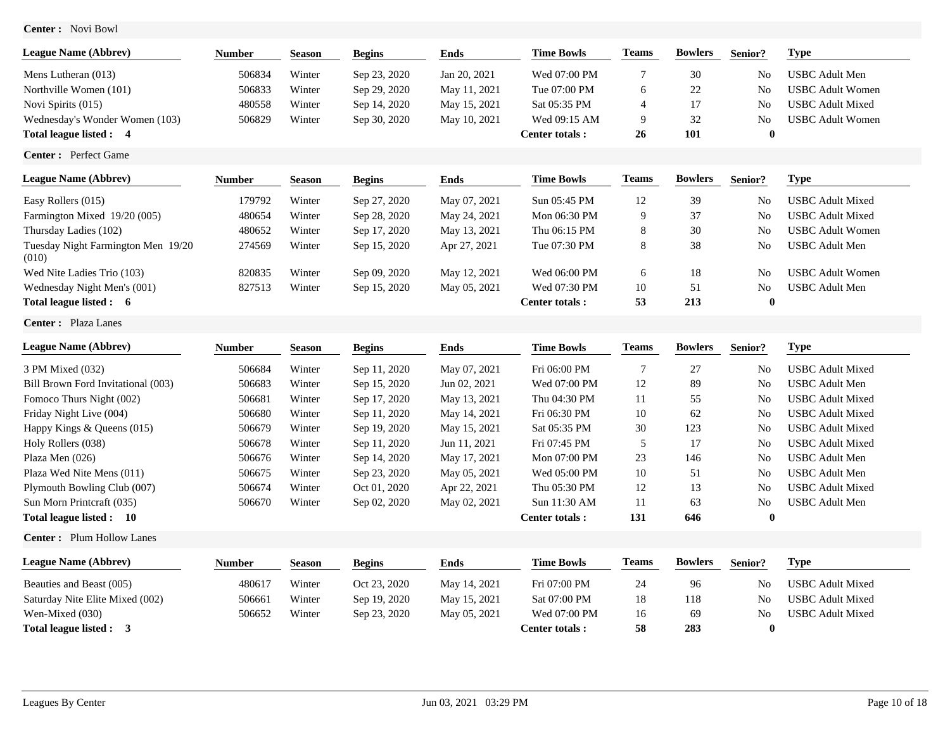**Center :** Novi Bowl

| <b>League Name (Abbrev)</b>    | Number | <b>Season</b> | <b>Begins</b> | Ends         | <b>Time Bowls</b>      | <b>Teams</b> | <b>Bowlers</b> | Senior?        | Type                    |
|--------------------------------|--------|---------------|---------------|--------------|------------------------|--------------|----------------|----------------|-------------------------|
| Mens Lutheran (013)            | 506834 | Winter        | Sep 23, 2020  | Jan 20, 2021 | Wed 07:00 PM           |              | 30             | N <sub>0</sub> | USBC Adult Men          |
| Northville Women (101)         | 506833 | Winter        | Sep 29, 2020  | May 11, 2021 | Tue 07:00 PM           |              | 22             | No             | <b>USBC Adult Women</b> |
| Novi Spirits (015)             | 480558 | Winter        | Sep 14, 2020  | May 15, 2021 | Sat 05:35 PM           |              |                | N <sub>0</sub> | <b>USBC</b> Adult Mixed |
| Wednesday's Wonder Women (103) | 506829 | Winter        | Sep 30, 2020  | May 10, 2021 | Wed 09:15 AM           | 9            | 32             | N <sub>0</sub> | <b>USBC Adult Women</b> |
| Total league listed : 4        |        |               |               |              | <b>Center totals :</b> | 26           | 101            |                |                         |

**Center :** Perfect Game

| <b>League Name (Abbrev)</b>                 | <b>Number</b> | <b>Season</b> | <b>Begins</b> | Ends         | <b>Time Bowls</b>     | <b>Teams</b> | <b>Bowlers</b> | Senior?        | Type                    |
|---------------------------------------------|---------------|---------------|---------------|--------------|-----------------------|--------------|----------------|----------------|-------------------------|
| Easy Rollers (015)                          | 179792        | Winter        | Sep 27, 2020  | May 07, 2021 | Sun 05:45 PM          | 12           | 39             | No             | <b>USBC Adult Mixed</b> |
| Farmington Mixed 19/20 (005)                | 480654        | Winter        | Sep 28, 2020  | May 24, 2021 | Mon 06:30 PM          | 9            | 37             | N <sub>o</sub> | <b>USBC Adult Mixed</b> |
| Thursday Ladies (102)                       | 480652        | Winter        | Sep 17, 2020  | May 13, 2021 | Thu 06:15 PM          | 8            | 30             | N <sub>o</sub> | <b>USBC Adult Women</b> |
| Tuesday Night Farmington Men 19/20<br>(010) | 274569        | Winter        | Sep 15, 2020  | Apr 27, 2021 | Tue 07:30 PM          | 8            | 38             | No             | <b>USBC</b> Adult Men   |
| Wed Nite Ladies Trio (103)                  | 820835        | Winter        | Sep 09, 2020  | May 12, 2021 | Wed 06:00 PM          | 6            | 18             | No             | <b>USBC Adult Women</b> |
| Wednesday Night Men's (001)                 | 827513        | Winter        | Sep 15, 2020  | May 05, 2021 | Wed 07:30 PM          | 10           | 51             | N <sub>o</sub> | <b>USBC</b> Adult Men   |
| Total league listed : 6                     |               |               |               |              | <b>Center totals:</b> | 53           | 213            | $\mathbf{0}$   |                         |

**Center :** Plaza Lanes

| <b>League Name (Abbrey)</b>        | <b>Number</b> | <b>Season</b> | <b>Begins</b> | Ends         | <b>Time Bowls</b>     | <b>Teams</b> | <b>Bowlers</b> | Senior?        | Type                    |
|------------------------------------|---------------|---------------|---------------|--------------|-----------------------|--------------|----------------|----------------|-------------------------|
| 3 PM Mixed (032)                   | 506684        | Winter        | Sep 11, 2020  | May 07, 2021 | Fri 06:00 PM          |              | 27             | N <sub>0</sub> | USBC Adult Mixed        |
| Bill Brown Ford Invitational (003) | 506683        | Winter        | Sep 15, 2020  | Jun 02, 2021 | Wed 07:00 PM          | 12           | 89             | N <sub>0</sub> | <b>USBC</b> Adult Men   |
| Fomoco Thurs Night (002)           | 506681        | Winter        | Sep 17, 2020  | May 13, 2021 | Thu 04:30 PM          | 11           | 55             | No             | <b>USBC Adult Mixed</b> |
| Friday Night Live (004)            | 506680        | Winter        | Sep 11, 2020  | May 14, 2021 | Fri 06:30 PM          | 10           | 62             | N <sub>0</sub> | <b>USBC Adult Mixed</b> |
| Happy Kings $&$ Queens (015)       | 506679        | Winter        | Sep 19, 2020  | May 15, 2021 | Sat 05:35 PM          | 30           | 123            | N <sub>0</sub> | USBC Adult Mixed        |
| Holy Rollers (038)                 | 506678        | Winter        | Sep 11, 2020  | Jun 11, 2021 | Fri 07:45 PM          |              | 17             | N <sub>0</sub> | USBC Adult Mixed        |
| Plaza Men $(026)$                  | 506676        | Winter        | Sep 14, 2020  | May 17, 2021 | Mon 07:00 PM          | 23           | 146            | N <sub>0</sub> | USBC Adult Men          |
| Plaza Wed Nite Mens (011)          | 506675        | Winter        | Sep 23, 2020  | May 05, 2021 | Wed 05:00 PM          | 10           | 51             | N <sub>0</sub> | USBC Adult Men          |
| Plymouth Bowling Club (007)        | 506674        | Winter        | Oct 01, 2020  | Apr 22, 2021 | Thu 05:30 PM          | 12           | 13             | N <sub>o</sub> | USBC Adult Mixed        |
| Sun Morn Printcraft (035)          | 506670        | Winter        | Sep 02, 2020  | May 02, 2021 | Sun 11:30 AM          | 11           | 63             | N <sub>0</sub> | USBC Adult Men          |
| Total league listed : 10           |               |               |               |              | <b>Center totals:</b> | 131          | 646            |                |                         |

**Center :** Plum Hollow Lanes

| <b>League Name (Abbrev)</b>     | Number | Season | <b>Begins</b> | Ends         | <b>Time Bowls</b> | <b>Teams</b> | <b>Bowlers</b> | Senior?        | <b>Type</b>             |
|---------------------------------|--------|--------|---------------|--------------|-------------------|--------------|----------------|----------------|-------------------------|
| Beauties and Beast (005)        | 480617 | Winter | Oct 23, 2020  | May 14, 2021 | Fri 07:00 PM      | 24           | 96             | No             | <b>USBC Adult Mixed</b> |
| Saturday Nite Elite Mixed (002) | 506661 | Winter | Sep 19, 2020  | May 15, 2021 | Sat 07:00 PM      | 18           | 118            | No             | <b>USBC Adult Mixed</b> |
| Wen-Mixed (030)                 | 506652 | Winter | Sep 23, 2020  | May 05, 2021 | Wed 07:00 PM      | 16           | 69             | N <sub>0</sub> | <b>USBC</b> Adult Mixed |
| Total league listed : 3         |        |        |               |              | Center totals :   | 58           | 283            |                |                         |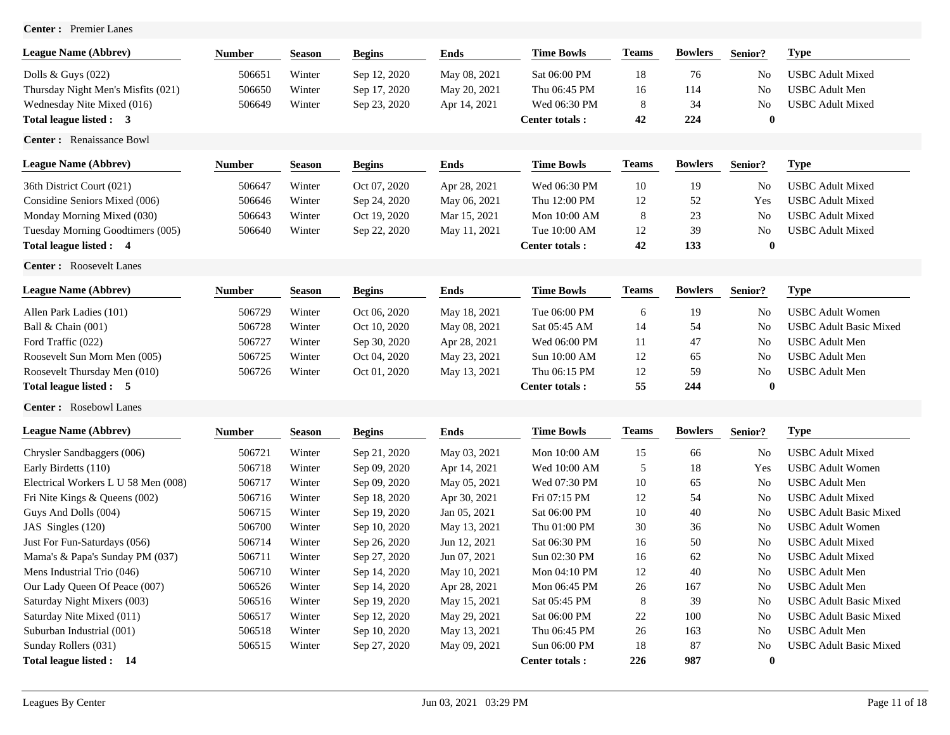| <b>Center :</b> | <b>Premier Lanes</b> |
|-----------------|----------------------|
|-----------------|----------------------|

| <b>League Name (Abbrev)</b>         | <b>Number</b> | Season        | <b>Begins</b> | <b>Ends</b>  | <b>Time Bowls</b>     | <b>Teams</b> | <b>Bowlers</b> | Senior?        | <b>Type</b>                   |
|-------------------------------------|---------------|---------------|---------------|--------------|-----------------------|--------------|----------------|----------------|-------------------------------|
| Dolls & Guys $(022)$                | 506651        | Winter        | Sep 12, 2020  | May 08, 2021 | Sat 06:00 PM          | 18           | 76             | No             | <b>USBC</b> Adult Mixed       |
| Thursday Night Men's Misfits (021)  | 506650        | Winter        | Sep 17, 2020  | May 20, 2021 | Thu 06:45 PM          | 16           | 114            | No             | <b>USBC</b> Adult Men         |
| Wednesday Nite Mixed (016)          | 506649        | Winter        | Sep 23, 2020  | Apr 14, 2021 | Wed 06:30 PM          | 8            | 34             | No             | <b>USBC</b> Adult Mixed       |
| Total league listed : 3             |               |               |               |              | Center totals:        | 42           | 224            | $\bf{0}$       |                               |
| Center: Renaissance Bowl            |               |               |               |              |                       |              |                |                |                               |
| <b>League Name (Abbrev)</b>         | Number        | <b>Season</b> | <b>Begins</b> | <b>Ends</b>  | <b>Time Bowls</b>     | <b>Teams</b> | <b>Bowlers</b> | Senior?        | <b>Type</b>                   |
| 36th District Court (021)           | 506647        | Winter        | Oct 07, 2020  | Apr 28, 2021 | Wed 06:30 PM          | 10           | 19             | N <sub>0</sub> | <b>USBC Adult Mixed</b>       |
| Considine Seniors Mixed (006)       | 506646        | Winter        | Sep 24, 2020  | May 06, 2021 | Thu 12:00 PM          | 12           | 52             | Yes            | <b>USBC</b> Adult Mixed       |
| Monday Morning Mixed (030)          | 506643        | Winter        | Oct 19, 2020  | Mar 15, 2021 | Mon 10:00 AM          | 8            | 23             | No             | <b>USBC</b> Adult Mixed       |
| Tuesday Morning Goodtimers (005)    | 506640        | Winter        | Sep 22, 2020  | May 11, 2021 | Tue 10:00 AM          | 12           | 39             | No             | <b>USBC</b> Adult Mixed       |
| Total league listed : 4             |               |               |               |              | Center totals:        | 42           | 133            | $\bf{0}$       |                               |
| Center: Roosevelt Lanes             |               |               |               |              |                       |              |                |                |                               |
| <b>League Name (Abbrev)</b>         | <b>Number</b> | <b>Season</b> | <b>Begins</b> | <b>Ends</b>  | <b>Time Bowls</b>     | <b>Teams</b> | <b>Bowlers</b> | Senior?        | <b>Type</b>                   |
| Allen Park Ladies (101)             | 506729        | Winter        | Oct 06, 2020  | May 18, 2021 | Tue 06:00 PM          | 6            | 19             | N <sub>0</sub> | <b>USBC</b> Adult Women       |
| Ball & Chain (001)                  | 506728        | Winter        | Oct 10, 2020  | May 08, 2021 | Sat 05:45 AM          | 14           | 54             | No             | <b>USBC Adult Basic Mixed</b> |
| Ford Traffic (022)                  | 506727        | Winter        | Sep 30, 2020  | Apr 28, 2021 | Wed 06:00 PM          | 11           | 47             | No             | <b>USBC</b> Adult Men         |
| Roosevelt Sun Morn Men (005)        | 506725        | Winter        | Oct 04, 2020  | May 23, 2021 | Sun 10:00 AM          | 12           | 65             | N <sub>o</sub> | <b>USBC</b> Adult Men         |
| Roosevelt Thursday Men (010)        | 506726        | Winter        | Oct 01, 2020  | May 13, 2021 | Thu 06:15 PM          | 12           | 59             | No             | <b>USBC</b> Adult Men         |
| Total league listed : 5             |               |               |               |              | Center totals:        | 55           | 244            | $\bf{0}$       |                               |
| Center: Rosebowl Lanes              |               |               |               |              |                       |              |                |                |                               |
| <b>League Name (Abbrev)</b>         | <b>Number</b> | <b>Season</b> | <b>Begins</b> | <b>Ends</b>  | <b>Time Bowls</b>     | <b>Teams</b> | <b>Bowlers</b> | Senior?        | <b>Type</b>                   |
| Chrysler Sandbaggers (006)          | 506721        | Winter        | Sep 21, 2020  | May 03, 2021 | Mon 10:00 AM          | 15           | 66             | No             | <b>USBC Adult Mixed</b>       |
| Early Birdetts (110)                | 506718        | Winter        | Sep 09, 2020  | Apr 14, 2021 | Wed 10:00 AM          | 5            | 18             | Yes            | <b>USBC</b> Adult Women       |
| Electrical Workers L U 58 Men (008) | 506717        | Winter        | Sep 09, 2020  | May 05, 2021 | Wed 07:30 PM          | 10           | 65             | N <sub>o</sub> | <b>USBC</b> Adult Men         |
| Fri Nite Kings & Queens (002)       | 506716        | Winter        | Sep 18, 2020  | Apr 30, 2021 | Fri 07:15 PM          | 12           | 54             | No             | <b>USBC</b> Adult Mixed       |
| Guys And Dolls (004)                | 506715        | Winter        | Sep 19, 2020  | Jan 05, 2021 | Sat 06:00 PM          | 10           | 40             | No             | <b>USBC</b> Adult Basic Mixed |
| JAS Singles (120)                   | 506700        | Winter        | Sep 10, 2020  | May 13, 2021 | Thu 01:00 PM          | 30           | 36             | No             | <b>USBC</b> Adult Women       |
| Just For Fun-Saturdays (056)        | 506714        | Winter        | Sep 26, 2020  | Jun 12, 2021 | Sat 06:30 PM          | 16           | 50             | <b>No</b>      | <b>USBC</b> Adult Mixed       |
| Mama's & Papa's Sunday PM (037)     | 506711        | Winter        | Sep 27, 2020  | Jun 07, 2021 | Sun 02:30 PM          | 16           | 62             | No             | <b>USBC</b> Adult Mixed       |
| Mens Industrial Trio (046)          | 506710        | Winter        | Sep 14, 2020  | May 10, 2021 | Mon 04:10 PM          | 12           | 40             | No.            | USBC Adult Men                |
| Our Lady Queen Of Peace (007)       | 506526        | Winter        | Sep 14, 2020  | Apr 28, 2021 | Mon 06:45 PM          | 26           | 167            | N <sub>0</sub> | <b>USBC</b> Adult Men         |
| Saturday Night Mixers (003)         | 506516        | Winter        | Sep 19, 2020  | May 15, 2021 | Sat 05:45 PM          | 8            | 39             | No             | <b>USBC</b> Adult Basic Mixed |
| Saturday Nite Mixed (011)           | 506517        | Winter        | Sep 12, 2020  | May 29, 2021 | Sat 06:00 PM          | 22           | 100            | No             | <b>USBC</b> Adult Basic Mixed |
| Suburban Industrial (001)           | 506518        | Winter        | Sep 10, 2020  | May 13, 2021 | Thu 06:45 PM          | 26           | 163            | No             | <b>USBC</b> Adult Men         |
| Sunday Rollers (031)                | 506515        | Winter        | Sep 27, 2020  | May 09, 2021 | Sun 06:00 PM          | 18           | 87             | No             | <b>USBC</b> Adult Basic Mixed |
| Total league listed: 14             |               |               |               |              | <b>Center totals:</b> | 226          | 987            | $\bf{0}$       |                               |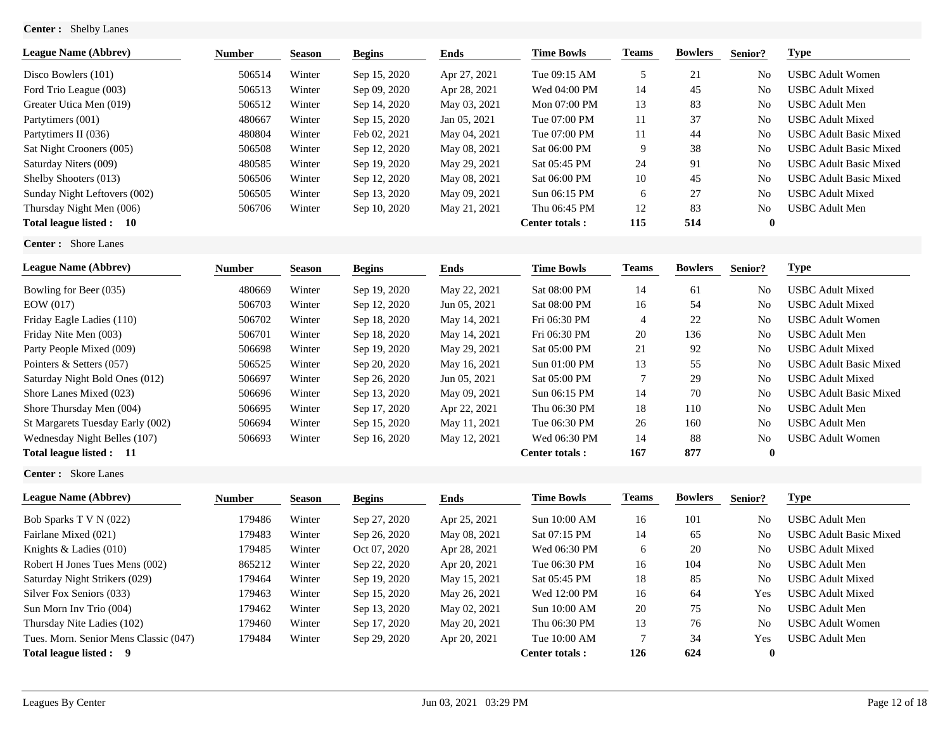**Center :** Shelby Lanes

| <b>League Name (Abbrev)</b>  | <b>Number</b> | <b>Season</b> | <b>Begins</b> | Ends         | <b>Time Bowls</b>     | <b>Teams</b> | <b>Bowlers</b> | Senior?      | Type                          |
|------------------------------|---------------|---------------|---------------|--------------|-----------------------|--------------|----------------|--------------|-------------------------------|
| Disco Bowlers (101)          | 506514        | Winter        | Sep 15, 2020  | Apr 27, 2021 | Tue 09:15 AM          |              | 21             | No           | USBC Adult Women              |
| Ford Trio League (003)       | 506513        | Winter        | Sep 09, 2020  | Apr 28, 2021 | Wed 04:00 PM          | 14           | 45             | No           | <b>USBC Adult Mixed</b>       |
| Greater Utica Men (019)      | 506512        | Winter        | Sep 14, 2020  | May 03, 2021 | Mon 07:00 PM          | 13           | 83             | No           | USBC Adult Men                |
| Partytimers (001)            | 480667        | Winter        | Sep 15, 2020  | Jan 05, 2021 | Tue 07:00 PM          | 11           | 37             | No           | <b>USBC Adult Mixed</b>       |
| Partytimers II (036)         | 480804        | Winter        | Feb 02, 2021  | May 04, 2021 | Tue 07:00 PM          | 11           | 44             | No           | <b>USBC Adult Basic Mixed</b> |
| Sat Night Crooners (005)     | 506508        | Winter        | Sep 12, 2020  | May 08, 2021 | Sat 06:00 PM          | 9            | 38             | No           | <b>USBC Adult Basic Mixed</b> |
| Saturday Niters (009)        | 480585        | Winter        | Sep 19, 2020  | May 29, 2021 | Sat 05:45 PM          | 24           | 91             | No           | <b>USBC Adult Basic Mixed</b> |
| Shelby Shooters (013)        | 506506        | Winter        | Sep 12, 2020  | May 08, 2021 | Sat 06:00 PM          | 10           | 45             | No           | <b>USBC Adult Basic Mixed</b> |
| Sunday Night Leftovers (002) | 506505        | Winter        | Sep 13, 2020  | May 09, 2021 | Sun 06:15 PM          | 6            | 27             | No           | USBC Adult Mixed              |
| Thursday Night Men (006)     | 506706        | Winter        | Sep 10, 2020  | May 21, 2021 | Thu 06:45 PM          | 12           | 83             | No           | USBC Adult Men                |
| Total league listed :<br>-10 |               |               |               |              | <b>Center totals:</b> | 115          | 514            | $\mathbf{0}$ |                               |

**Center :** Shore Lanes

| <b>League Name (Abbrey)</b>      | <b>Number</b> | <b>Season</b> | <b>Begins</b> | Ends         | <b>Time Bowls</b>     | Teams          | <b>Bowlers</b> | Senior?        | Type                          |
|----------------------------------|---------------|---------------|---------------|--------------|-----------------------|----------------|----------------|----------------|-------------------------------|
| Bowling for Beer (035)           | 480669        | Winter        | Sep 19, 2020  | May 22, 2021 | Sat 08:00 PM          | 14             | 61             | N <sub>0</sub> | <b>USBC Adult Mixed</b>       |
| EOW(017)                         | 506703        | Winter        | Sep 12, 2020  | Jun 05, 2021 | Sat 08:00 PM          | 16             | 54             | No             | <b>USBC Adult Mixed</b>       |
| Friday Eagle Ladies (110)        | 506702        | Winter        | Sep 18, 2020  | May 14, 2021 | Fri 06:30 PM          | $\overline{4}$ | 22             | N <sub>0</sub> | <b>USBC Adult Women</b>       |
| Friday Nite Men (003)            | 506701        | Winter        | Sep 18, 2020  | May 14, 2021 | Fri 06:30 PM          | 20             | 136            | N <sub>0</sub> | USBC Adult Men                |
| Party People Mixed (009)         | 506698        | Winter        | Sep 19, 2020  | May 29, 2021 | Sat 05:00 PM          | 21             | 92             | N <sub>0</sub> | USBC Adult Mixed              |
| Pointers & Setters (057)         | 506525        | Winter        | Sep 20, 2020  | May 16, 2021 | Sun 01:00 PM          | 13             | 55             | N <sub>0</sub> | <b>USBC Adult Basic Mixed</b> |
| Saturday Night Bold Ones (012)   | 506697        | Winter        | Sep 26, 2020  | Jun 05, 2021 | Sat 05:00 PM          | 7              | 29             | N <sub>0</sub> | USBC Adult Mixed              |
| Shore Lanes Mixed (023)          | 506696        | Winter        | Sep 13, 2020  | May 09, 2021 | Sun 06:15 PM          | 14             | 70             | N <sub>0</sub> | <b>USBC Adult Basic Mixed</b> |
| Shore Thursday Men (004)         | 506695        | Winter        | Sep 17, 2020  | Apr 22, 2021 | Thu 06:30 PM          | 18             | 110            | N <sub>0</sub> | USBC Adult Men                |
| St Margarets Tuesday Early (002) | 506694        | Winter        | Sep 15, 2020  | May 11, 2021 | Tue 06:30 PM          | 26             | 160            | N <sub>0</sub> | <b>USBC</b> Adult Men         |
| Wednesday Night Belles (107)     | 506693        | Winter        | Sep 16, 2020  | May 12, 2021 | Wed 06:30 PM          | 14             | 88             | N <sub>0</sub> | <b>USBC Adult Women</b>       |
| Total league listed : 11         |               |               |               |              | <b>Center totals:</b> | 167            | 877            | $\mathbf{0}$   |                               |

**Center :** Skore Lanes

| <b>League Name (Abbrev)</b>           | <b>Number</b> | <b>Season</b> | <b>Begins</b> | Ends         | <b>Time Bowls</b> | Teams | <b>Bowlers</b> | Senior?        | Type                   |
|---------------------------------------|---------------|---------------|---------------|--------------|-------------------|-------|----------------|----------------|------------------------|
| Bob Sparks T V N (022)                | 179486        | Winter        | Sep 27, 2020  | Apr 25, 2021 | Sun 10:00 AM      | 16    | 101            | No             | USBC Adult Men         |
| Fairlane Mixed (021)                  | 179483        | Winter        | Sep 26, 2020  | May 08, 2021 | Sat 07:15 PM      | 14    | 65             | No             | USBC Adult Basic Mixed |
| Knights $&$ Ladies (010)              | 179485        | Winter        | Oct 07, 2020  | Apr 28, 2021 | Wed 06:30 PM      | 6     | 20             | N <sub>o</sub> | USBC Adult Mixed       |
| Robert H Jones Tues Mens (002)        | 865212        | Winter        | Sep 22, 2020  | Apr 20, 2021 | Tue 06:30 PM      | 16    | 104            | N <sub>o</sub> | JSBC Adult Men         |
| Saturday Night Strikers (029)         | 179464        | Winter        | Sep 19, 2020  | May 15, 2021 | Sat 05:45 PM      | 18    | 85             | No             | USBC Adult Mixed       |
| Silver Fox Seniors (033)              | 179463        | Winter        | Sep 15, 2020  | May 26, 2021 | Wed 12:00 PM      | 16    | 64             | Yes            | USBC Adult Mixed       |
| Sun Morn Inv Trio (004)               | 179462        | Winter        | Sep 13, 2020  | May 02, 2021 | Sun 10:00 AM      | 20    | 75             | No             | USBC Adult Men         |
| Thursday Nite Ladies (102)            | 179460        | Winter        | Sep 17, 2020  | May 20, 2021 | Thu 06:30 PM      | 13    | 76             | No             | JSBC Adult Women       |
| Tues. Morn. Senior Mens Classic (047) | 179484        | Winter        | Sep 29, 2020  | Apr 20, 2021 | Tue 10:00 AM      |       | 34             | Yes            | <b>USBC</b> Adult Men  |
| Total league listed : 9               |               |               |               |              | Center totals:    | 126   | 624            | 0              |                        |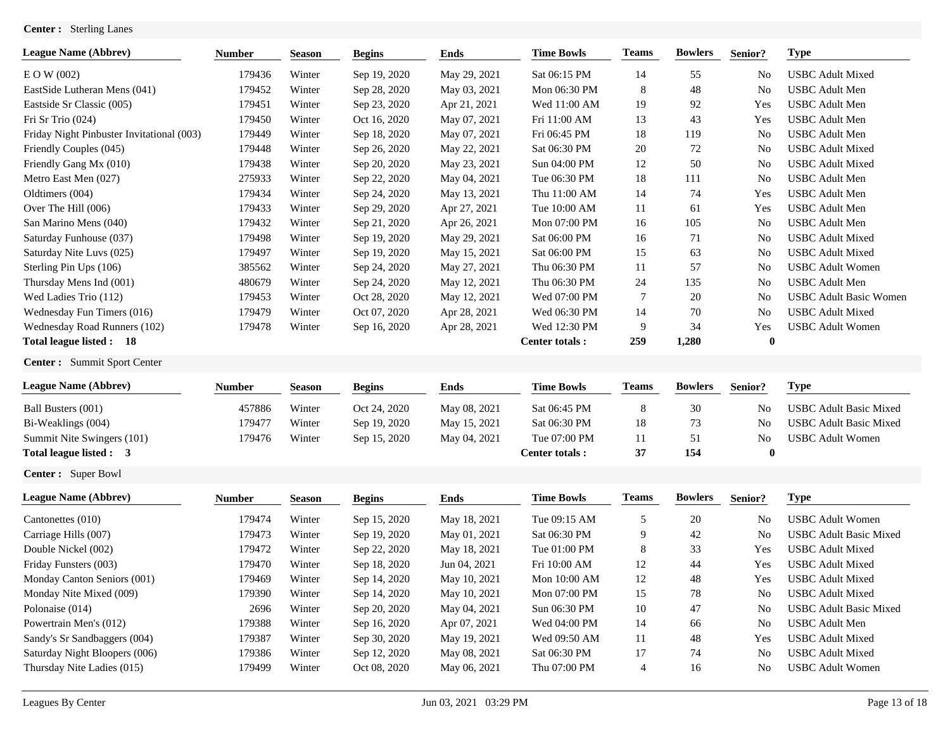# **Center :** Sterling Lanes

| <b>League Name (Abbrev)</b>               | <b>Number</b> | <b>Season</b> | <b>Begins</b> | <b>Ends</b>  | <b>Time Bowls</b>     | <b>Teams</b>   | <b>Bowlers</b> | Senior?          | <b>Type</b>                   |
|-------------------------------------------|---------------|---------------|---------------|--------------|-----------------------|----------------|----------------|------------------|-------------------------------|
| $E$ O W (002)                             | 179436        | Winter        | Sep 19, 2020  | May 29, 2021 | Sat 06:15 PM          | 14             | 55             | No               | <b>USBC</b> Adult Mixed       |
| EastSide Lutheran Mens (041)              | 179452        | Winter        | Sep 28, 2020  | May 03, 2021 | Mon 06:30 PM          | 8              | 48             | No               | <b>USBC</b> Adult Men         |
| Eastside Sr Classic (005)                 | 179451        | Winter        | Sep 23, 2020  | Apr 21, 2021 | Wed 11:00 AM          | 19             | 92             | Yes              | <b>USBC</b> Adult Men         |
| Fri Sr Trio (024)                         | 179450        | Winter        | Oct 16, 2020  | May 07, 2021 | Fri 11:00 AM          | 13             | 43             | Yes              | <b>USBC</b> Adult Men         |
| Friday Night Pinbuster Invitational (003) | 179449        | Winter        | Sep 18, 2020  | May 07, 2021 | Fri 06:45 PM          | 18             | 119            | <b>No</b>        | <b>USBC</b> Adult Men         |
| Friendly Couples (045)                    | 179448        | Winter        | Sep 26, 2020  | May 22, 2021 | Sat 06:30 PM          | 20             | 72             | No               | <b>USBC</b> Adult Mixed       |
| Friendly Gang Mx (010)                    | 179438        | Winter        | Sep 20, 2020  | May 23, 2021 | Sun 04:00 PM          | 12             | 50             | No               | <b>USBC</b> Adult Mixed       |
| Metro East Men (027)                      | 275933        | Winter        | Sep 22, 2020  | May 04, 2021 | Tue 06:30 PM          | 18             | 111            | No               | <b>USBC</b> Adult Men         |
| Oldtimers (004)                           | 179434        | Winter        | Sep 24, 2020  | May 13, 2021 | Thu 11:00 AM          | 14             | 74             | Yes              | <b>USBC</b> Adult Men         |
| Over The Hill (006)                       | 179433        | Winter        | Sep 29, 2020  | Apr 27, 2021 | Tue 10:00 AM          | 11             | 61             | Yes              | <b>USBC</b> Adult Men         |
| San Marino Mens (040)                     | 179432        | Winter        | Sep 21, 2020  | Apr 26, 2021 | Mon 07:00 PM          | 16             | 105            | No               | <b>USBC</b> Adult Men         |
| Saturday Funhouse (037)                   | 179498        | Winter        | Sep 19, 2020  | May 29, 2021 | Sat 06:00 PM          | 16             | 71             | No               | <b>USBC</b> Adult Mixed       |
| Saturday Nite Luvs (025)                  | 179497        | Winter        | Sep 19, 2020  | May 15, 2021 | Sat 06:00 PM          | 15             | 63             | No               | <b>USBC</b> Adult Mixed       |
| Sterling Pin Ups (106)                    | 385562        | Winter        | Sep 24, 2020  | May 27, 2021 | Thu 06:30 PM          | 11             | 57             | No               | <b>USBC</b> Adult Women       |
| Thursday Mens Ind (001)                   | 480679        | Winter        | Sep 24, 2020  | May 12, 2021 | Thu 06:30 PM          | 24             | 135            | No               | <b>USBC</b> Adult Men         |
| Wed Ladies Trio (112)                     | 179453        | Winter        | Oct 28, 2020  | May 12, 2021 | Wed 07:00 PM          | 7              | 20             | No               | <b>USBC</b> Adult Basic Women |
| Wednesday Fun Timers (016)                | 179479        | Winter        | Oct 07, 2020  | Apr 28, 2021 | Wed 06:30 PM          | 14             | 70             | N <sub>o</sub>   | <b>USBC</b> Adult Mixed       |
| Wednesday Road Runners (102)              | 179478        | Winter        | Sep 16, 2020  | Apr 28, 2021 | Wed 12:30 PM          | 9              | 34             | Yes              | <b>USBC</b> Adult Women       |
| Total league listed: 18                   |               |               |               |              | <b>Center totals:</b> | 259            | 1,280          | $\boldsymbol{0}$ |                               |
| Center: Summit Sport Center               |               |               |               |              |                       |                |                |                  |                               |
| <b>League Name (Abbrev)</b>               | <b>Number</b> | <b>Season</b> | <b>Begins</b> | <b>Ends</b>  | <b>Time Bowls</b>     | <b>Teams</b>   | <b>Bowlers</b> | Senior?          | <b>Type</b>                   |
| Ball Busters (001)                        | 457886        | Winter        | Oct 24, 2020  | May 08, 2021 | Sat 06:45 PM          | 8              | 30             | No               | <b>USBC Adult Basic Mixed</b> |
| Bi-Weaklings (004)                        | 179477        | Winter        | Sep 19, 2020  | May 15, 2021 | Sat 06:30 PM          | 18             | 73             | No               | <b>USBC</b> Adult Basic Mixed |
| Summit Nite Swingers (101)                | 179476        | Winter        | Sep 15, 2020  | May 04, 2021 | Tue 07:00 PM          | 11             | 51             | No               | <b>USBC</b> Adult Women       |
| Total league listed : 3                   |               |               |               |              | Center totals:        | 37             | 154            | $\bf{0}$         |                               |
| Center: Super Bowl                        |               |               |               |              |                       |                |                |                  |                               |
| <b>League Name (Abbrev)</b>               | <b>Number</b> | <b>Season</b> | <b>Begins</b> | <b>Ends</b>  | <b>Time Bowls</b>     | <b>Teams</b>   | <b>Bowlers</b> | Senior?          | <b>Type</b>                   |
| Cantonettes (010)                         | 179474        | Winter        | Sep 15, 2020  | May 18, 2021 | Tue 09:15 AM          | 5              | 20             | No               | <b>USBC</b> Adult Women       |
| Carriage Hills (007)                      | 179473        | Winter        | Sep 19, 2020  | May 01, 2021 | Sat 06:30 PM          | 9              | 42             | No               | <b>USBC</b> Adult Basic Mixed |
| Double Nickel (002)                       | 179472        | Winter        | Sep 22, 2020  | May 18, 2021 | Tue 01:00 PM          | 8              | 33             | Yes              | <b>USBC</b> Adult Mixed       |
| Friday Funsters (003)                     | 179470        | Winter        | Sep 18, 2020  | Jun 04, 2021 | Fri 10:00 AM          | 12             | 44             | Yes              | <b>USBC</b> Adult Mixed       |
| Monday Canton Seniors (001)               | 179469        | Winter        | Sep 14, 2020  | May 10, 2021 | Mon 10:00 AM          | 12             | 48             | Yes              | <b>USBC</b> Adult Mixed       |
| Monday Nite Mixed (009)                   | 179390        | Winter        | Sep 14, 2020  | May 10, 2021 | Mon 07:00 PM          | 15             | 78             | No               | <b>USBC</b> Adult Mixed       |
| Polonaise (014)                           | 2696          | Winter        | Sep 20, 2020  | May 04, 2021 | Sun 06:30 PM          | 10             | 47             | No               | <b>USBC</b> Adult Basic Mixed |
| Powertrain Men's (012)                    | 179388        | Winter        | Sep 16, 2020  | Apr 07, 2021 | Wed 04:00 PM          | 14             | 66             | No               | <b>USBC</b> Adult Men         |
| Sandy's Sr Sandbaggers (004)              | 179387        | Winter        | Sep 30, 2020  | May 19, 2021 | Wed 09:50 AM          | 11             | 48             | Yes              | <b>USBC</b> Adult Mixed       |
| Saturday Night Bloopers (006)             | 179386        | Winter        | Sep 12, 2020  | May 08, 2021 | Sat 06:30 PM          | 17             | 74             | No               | <b>USBC</b> Adult Mixed       |
| Thursday Nite Ladies (015)                | 179499        | Winter        | Oct 08, 2020  | May 06, 2021 | Thu 07:00 PM          | $\overline{4}$ | 16             | No               | <b>USBC</b> Adult Women       |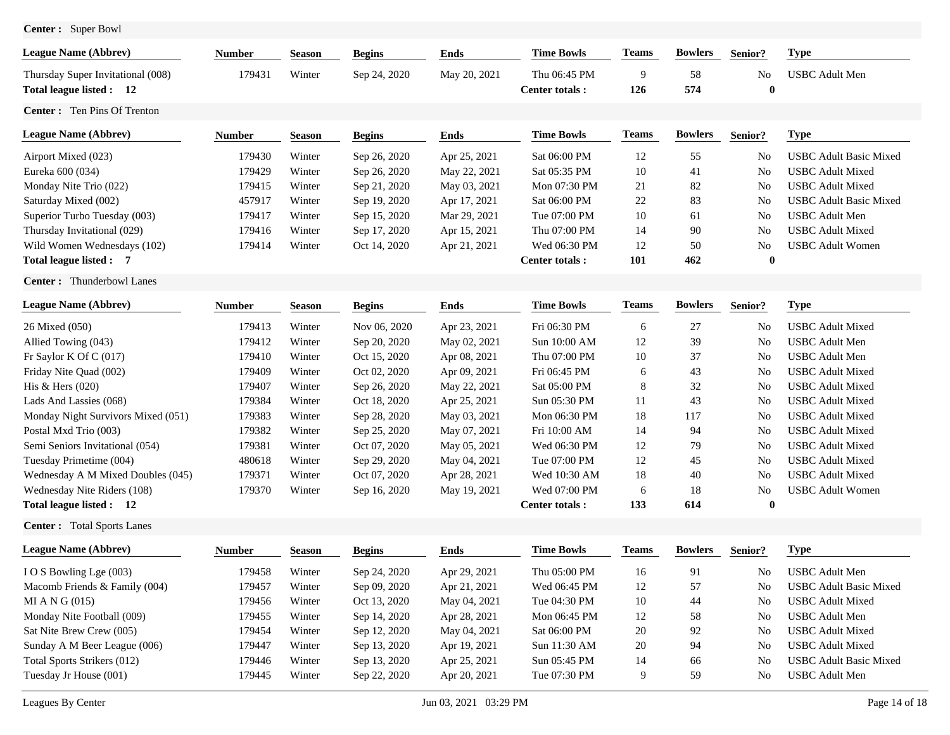| <b>Center :</b> | Super Bowl |  |
|-----------------|------------|--|
|-----------------|------------|--|

| 179431<br>Winter<br>9<br>58<br>Sep 24, 2020<br>May 20, 2021<br>Thu 06:45 PM<br>N <sub>o</sub><br><b>USBC</b> Adult Men<br>574<br>126<br>$\boldsymbol{0}$<br>Center totals:<br><b>Type</b><br><b>Ends</b><br><b>Time Bowls</b><br><b>Teams</b><br><b>Bowlers</b><br><b>Begins</b><br>Senior?<br><b>Number</b><br><b>Season</b><br>179430<br>Winter<br>Sep 26, 2020<br>Apr 25, 2021<br>Sat 06:00 PM<br>12<br>55<br><b>USBC Adult Basic Mixed</b><br>No<br>10<br>179429<br>Winter<br>Sat 05:35 PM<br>41<br><b>USBC</b> Adult Mixed<br>Sep 26, 2020<br>May 22, 2021<br>No<br>21<br>179415<br>Winter<br>Sep 21, 2020<br>May 03, 2021<br>Mon 07:30 PM<br>82<br>No<br><b>USBC</b> Adult Mixed<br>22<br>83<br>457917<br>Winter<br>Sep 19, 2020<br>Apr 17, 2021<br>Sat 06:00 PM<br><b>No</b><br><b>USBC Adult Basic Mixed</b><br>10<br>179417<br>Winter<br>Sep 15, 2020<br>Mar 29, 2021<br>Tue 07:00 PM<br>61<br>N <sub>o</sub><br><b>USBC</b> Adult Men<br>Thursday Invitational (029)<br>179416<br>Winter<br>Sep 17, 2020<br>Thu 07:00 PM<br>14<br>90<br>N <sub>o</sub><br><b>USBC</b> Adult Mixed<br>Apr 15, 2021<br>12<br>179414<br>Wed 06:30 PM<br>50<br>No<br><b>USBC</b> Adult Women<br>Winter<br>Oct 14, 2020<br>Apr 21, 2021<br><b>101</b><br>462<br>$\boldsymbol{0}$<br>Center totals:<br><b>Bowlers</b><br><b>Type</b><br><b>Time Bowls</b><br><b>Teams</b><br><b>Begins</b><br><b>Ends</b><br>Senior?<br>Number<br><b>Season</b><br>179413<br>Winter<br>Nov 06, 2020<br>Apr 23, 2021<br>Fri 06:30 PM<br>27<br><b>USBC</b> Adult Mixed<br>6<br>No<br>Winter<br>Sep 20, 2020<br>May 02, 2021<br>12<br>39<br><b>USBC</b> Adult Men<br>179412<br>Sun 10:00 AM<br>No<br>179410<br>Winter<br>Oct 15, 2020<br>Apr 08, 2021<br>Thu 07:00 PM<br>10<br>37<br><b>USBC</b> Adult Men<br>No<br>179409<br>Winter<br>Oct 02, 2020<br>Apr 09, 2021<br>Fri 06:45 PM<br>43<br><b>USBC</b> Adult Mixed<br>6<br>No<br>8<br>32<br>179407<br>Winter<br>Sep 26, 2020<br>May 22, 2021<br>Sat 05:00 PM<br>N <sub>o</sub><br><b>USBC</b> Adult Mixed<br>179384<br>Winter<br>Oct 18, 2020<br>Apr 25, 2021<br>Sun 05:30 PM<br>11<br>43<br><b>USBC</b> Adult Mixed<br>No<br>18<br>179383<br>Winter<br>Sep 28, 2020<br>May 03, 2021<br>Mon 06:30 PM<br>117<br><b>USBC</b> Adult Mixed<br>No<br>179382<br>Winter<br>Sep 25, 2020<br>May 07, 2021<br>Fri 10:00 AM<br>14<br>94<br><b>USBC</b> Adult Mixed<br>No<br>179381<br>Winter<br>Oct 07, 2020<br>May 05, 2021<br>Wed 06:30 PM<br>12<br>79<br>No<br><b>USBC</b> Adult Mixed<br>12<br>Winter<br>Sep 29, 2020<br>May 04, 2021<br>Tue 07:00 PM<br>45<br><b>No</b><br><b>USBC</b> Adult Mixed<br>Tuesday Primetime (004)<br>480618<br>18<br>179371<br>Winter<br>Oct 07, 2020<br>Apr 28, 2021<br>Wed 10:30 AM<br>40<br>N <sub>o</sub><br><b>USBC</b> Adult Mixed<br>Wednesday A M Mixed Doubles (045)<br>Wednesday Nite Riders (108)<br>179370<br>Wed 07:00 PM<br>18<br>No<br><b>USBC</b> Adult Women<br>Winter<br>Sep 16, 2020<br>May 19, 2021<br>6<br>133<br>614<br>$\bf{0}$<br>Center totals:<br><b>Type</b><br><b>Time Bowls</b><br><b>Teams</b><br><b>Bowlers</b><br><b>Ends</b><br>Senior?<br><b>Number</b><br><b>Season</b><br><b>Begins</b><br>91<br>179458<br>Winter<br>Sep 24, 2020<br>Apr 29, 2021<br>Thu 05:00 PM<br>16<br><b>USBC</b> Adult Men<br>I O S Bowling Lge (003)<br>No<br>Sep 09, 2020<br>Apr 21, 2021<br>Wed 06:45 PM<br>12<br>57<br><b>USBC</b> Adult Basic Mixed<br>179457<br>Winter<br>No<br>Oct 13, 2020<br>May 04, 2021<br>Tue 04:30 PM<br>10<br>44<br><b>USBC</b> Adult Mixed<br>179456<br>Winter<br>No<br>Apr 28, 2021<br>12<br>58<br><b>USBC</b> Adult Men<br>179455<br>Winter<br>Sep 14, 2020<br>Mon 06:45 PM<br>No<br>179454<br>Sep 12, 2020<br>May 04, 2021<br>Sat 06:00 PM<br>20<br>92<br><b>USBC</b> Adult Mixed<br>Winter<br>No<br>Sunday A M Beer League (006)<br>179447<br>Winter<br>Sep 13, 2020<br>20<br>94<br><b>USBC</b> Adult Mixed<br>Apr 19, 2021<br>Sun 11:30 AM<br>No<br>179446<br>Winter<br>Sun 05:45 PM<br>14<br><b>USBC</b> Adult Basic Mixed<br>Sep 13, 2020<br>Apr 25, 2021<br>66<br>No<br>179445<br>Winter<br>Sep 22, 2020<br>Tue 07:30 PM<br>9<br>59<br><b>USBC</b> Adult Men<br>Apr 20, 2021<br>No | <b>League Name (Abbrev)</b>                                   | Number | <b>Season</b> | <b>Begins</b> | <b>Ends</b> | <b>Time Bowls</b> | <b>Teams</b> | <b>Bowlers</b> | Senior? | <b>Type</b> |
|-------------------------------------------------------------------------------------------------------------------------------------------------------------------------------------------------------------------------------------------------------------------------------------------------------------------------------------------------------------------------------------------------------------------------------------------------------------------------------------------------------------------------------------------------------------------------------------------------------------------------------------------------------------------------------------------------------------------------------------------------------------------------------------------------------------------------------------------------------------------------------------------------------------------------------------------------------------------------------------------------------------------------------------------------------------------------------------------------------------------------------------------------------------------------------------------------------------------------------------------------------------------------------------------------------------------------------------------------------------------------------------------------------------------------------------------------------------------------------------------------------------------------------------------------------------------------------------------------------------------------------------------------------------------------------------------------------------------------------------------------------------------------------------------------------------------------------------------------------------------------------------------------------------------------------------------------------------------------------------------------------------------------------------------------------------------------------------------------------------------------------------------------------------------------------------------------------------------------------------------------------------------------------------------------------------------------------------------------------------------------------------------------------------------------------------------------------------------------------------------------------------------------------------------------------------------------------------------------------------------------------------------------------------------------------------------------------------------------------------------------------------------------------------------------------------------------------------------------------------------------------------------------------------------------------------------------------------------------------------------------------------------------------------------------------------------------------------------------------------------------------------------------------------------------------------------------------------------------------------------------------------------------------------------------------------------------------------------------------------------------------------------------------------------------------------------------------------------------------------------------------------------------------------------------------------------------------------------------------------------------------------------------------------------------------------------------------------------------------------------------------------------------------------------------------------------------------------------------------------------------------------------------------------------------------------------------------------------------------------------------------------------------------------------------------------------------------------------------------------------------------------------------------------------------------|---------------------------------------------------------------|--------|---------------|---------------|-------------|-------------------|--------------|----------------|---------|-------------|
|                                                                                                                                                                                                                                                                                                                                                                                                                                                                                                                                                                                                                                                                                                                                                                                                                                                                                                                                                                                                                                                                                                                                                                                                                                                                                                                                                                                                                                                                                                                                                                                                                                                                                                                                                                                                                                                                                                                                                                                                                                                                                                                                                                                                                                                                                                                                                                                                                                                                                                                                                                                                                                                                                                                                                                                                                                                                                                                                                                                                                                                                                                                                                                                                                                                                                                                                                                                                                                                                                                                                                                                                                                                                                                                                                                                                                                                                                                                                                                                                                                                                                                                                                                               | Thursday Super Invitational (008)<br>Total league listed : 12 |        |               |               |             |                   |              |                |         |             |
|                                                                                                                                                                                                                                                                                                                                                                                                                                                                                                                                                                                                                                                                                                                                                                                                                                                                                                                                                                                                                                                                                                                                                                                                                                                                                                                                                                                                                                                                                                                                                                                                                                                                                                                                                                                                                                                                                                                                                                                                                                                                                                                                                                                                                                                                                                                                                                                                                                                                                                                                                                                                                                                                                                                                                                                                                                                                                                                                                                                                                                                                                                                                                                                                                                                                                                                                                                                                                                                                                                                                                                                                                                                                                                                                                                                                                                                                                                                                                                                                                                                                                                                                                                               | <b>Center:</b> Ten Pins Of Trenton                            |        |               |               |             |                   |              |                |         |             |
|                                                                                                                                                                                                                                                                                                                                                                                                                                                                                                                                                                                                                                                                                                                                                                                                                                                                                                                                                                                                                                                                                                                                                                                                                                                                                                                                                                                                                                                                                                                                                                                                                                                                                                                                                                                                                                                                                                                                                                                                                                                                                                                                                                                                                                                                                                                                                                                                                                                                                                                                                                                                                                                                                                                                                                                                                                                                                                                                                                                                                                                                                                                                                                                                                                                                                                                                                                                                                                                                                                                                                                                                                                                                                                                                                                                                                                                                                                                                                                                                                                                                                                                                                                               | <b>League Name (Abbrev)</b>                                   |        |               |               |             |                   |              |                |         |             |
|                                                                                                                                                                                                                                                                                                                                                                                                                                                                                                                                                                                                                                                                                                                                                                                                                                                                                                                                                                                                                                                                                                                                                                                                                                                                                                                                                                                                                                                                                                                                                                                                                                                                                                                                                                                                                                                                                                                                                                                                                                                                                                                                                                                                                                                                                                                                                                                                                                                                                                                                                                                                                                                                                                                                                                                                                                                                                                                                                                                                                                                                                                                                                                                                                                                                                                                                                                                                                                                                                                                                                                                                                                                                                                                                                                                                                                                                                                                                                                                                                                                                                                                                                                               | Airport Mixed (023)                                           |        |               |               |             |                   |              |                |         |             |
|                                                                                                                                                                                                                                                                                                                                                                                                                                                                                                                                                                                                                                                                                                                                                                                                                                                                                                                                                                                                                                                                                                                                                                                                                                                                                                                                                                                                                                                                                                                                                                                                                                                                                                                                                                                                                                                                                                                                                                                                                                                                                                                                                                                                                                                                                                                                                                                                                                                                                                                                                                                                                                                                                                                                                                                                                                                                                                                                                                                                                                                                                                                                                                                                                                                                                                                                                                                                                                                                                                                                                                                                                                                                                                                                                                                                                                                                                                                                                                                                                                                                                                                                                                               | Eureka 600 (034)                                              |        |               |               |             |                   |              |                |         |             |
|                                                                                                                                                                                                                                                                                                                                                                                                                                                                                                                                                                                                                                                                                                                                                                                                                                                                                                                                                                                                                                                                                                                                                                                                                                                                                                                                                                                                                                                                                                                                                                                                                                                                                                                                                                                                                                                                                                                                                                                                                                                                                                                                                                                                                                                                                                                                                                                                                                                                                                                                                                                                                                                                                                                                                                                                                                                                                                                                                                                                                                                                                                                                                                                                                                                                                                                                                                                                                                                                                                                                                                                                                                                                                                                                                                                                                                                                                                                                                                                                                                                                                                                                                                               | Monday Nite Trio (022)                                        |        |               |               |             |                   |              |                |         |             |
|                                                                                                                                                                                                                                                                                                                                                                                                                                                                                                                                                                                                                                                                                                                                                                                                                                                                                                                                                                                                                                                                                                                                                                                                                                                                                                                                                                                                                                                                                                                                                                                                                                                                                                                                                                                                                                                                                                                                                                                                                                                                                                                                                                                                                                                                                                                                                                                                                                                                                                                                                                                                                                                                                                                                                                                                                                                                                                                                                                                                                                                                                                                                                                                                                                                                                                                                                                                                                                                                                                                                                                                                                                                                                                                                                                                                                                                                                                                                                                                                                                                                                                                                                                               | Saturday Mixed (002)                                          |        |               |               |             |                   |              |                |         |             |
|                                                                                                                                                                                                                                                                                                                                                                                                                                                                                                                                                                                                                                                                                                                                                                                                                                                                                                                                                                                                                                                                                                                                                                                                                                                                                                                                                                                                                                                                                                                                                                                                                                                                                                                                                                                                                                                                                                                                                                                                                                                                                                                                                                                                                                                                                                                                                                                                                                                                                                                                                                                                                                                                                                                                                                                                                                                                                                                                                                                                                                                                                                                                                                                                                                                                                                                                                                                                                                                                                                                                                                                                                                                                                                                                                                                                                                                                                                                                                                                                                                                                                                                                                                               | Superior Turbo Tuesday (003)                                  |        |               |               |             |                   |              |                |         |             |
|                                                                                                                                                                                                                                                                                                                                                                                                                                                                                                                                                                                                                                                                                                                                                                                                                                                                                                                                                                                                                                                                                                                                                                                                                                                                                                                                                                                                                                                                                                                                                                                                                                                                                                                                                                                                                                                                                                                                                                                                                                                                                                                                                                                                                                                                                                                                                                                                                                                                                                                                                                                                                                                                                                                                                                                                                                                                                                                                                                                                                                                                                                                                                                                                                                                                                                                                                                                                                                                                                                                                                                                                                                                                                                                                                                                                                                                                                                                                                                                                                                                                                                                                                                               |                                                               |        |               |               |             |                   |              |                |         |             |
|                                                                                                                                                                                                                                                                                                                                                                                                                                                                                                                                                                                                                                                                                                                                                                                                                                                                                                                                                                                                                                                                                                                                                                                                                                                                                                                                                                                                                                                                                                                                                                                                                                                                                                                                                                                                                                                                                                                                                                                                                                                                                                                                                                                                                                                                                                                                                                                                                                                                                                                                                                                                                                                                                                                                                                                                                                                                                                                                                                                                                                                                                                                                                                                                                                                                                                                                                                                                                                                                                                                                                                                                                                                                                                                                                                                                                                                                                                                                                                                                                                                                                                                                                                               | Wild Women Wednesdays (102)                                   |        |               |               |             |                   |              |                |         |             |
|                                                                                                                                                                                                                                                                                                                                                                                                                                                                                                                                                                                                                                                                                                                                                                                                                                                                                                                                                                                                                                                                                                                                                                                                                                                                                                                                                                                                                                                                                                                                                                                                                                                                                                                                                                                                                                                                                                                                                                                                                                                                                                                                                                                                                                                                                                                                                                                                                                                                                                                                                                                                                                                                                                                                                                                                                                                                                                                                                                                                                                                                                                                                                                                                                                                                                                                                                                                                                                                                                                                                                                                                                                                                                                                                                                                                                                                                                                                                                                                                                                                                                                                                                                               | Total league listed : 7                                       |        |               |               |             |                   |              |                |         |             |
|                                                                                                                                                                                                                                                                                                                                                                                                                                                                                                                                                                                                                                                                                                                                                                                                                                                                                                                                                                                                                                                                                                                                                                                                                                                                                                                                                                                                                                                                                                                                                                                                                                                                                                                                                                                                                                                                                                                                                                                                                                                                                                                                                                                                                                                                                                                                                                                                                                                                                                                                                                                                                                                                                                                                                                                                                                                                                                                                                                                                                                                                                                                                                                                                                                                                                                                                                                                                                                                                                                                                                                                                                                                                                                                                                                                                                                                                                                                                                                                                                                                                                                                                                                               | <b>Center:</b> Thunderbowl Lanes                              |        |               |               |             |                   |              |                |         |             |
|                                                                                                                                                                                                                                                                                                                                                                                                                                                                                                                                                                                                                                                                                                                                                                                                                                                                                                                                                                                                                                                                                                                                                                                                                                                                                                                                                                                                                                                                                                                                                                                                                                                                                                                                                                                                                                                                                                                                                                                                                                                                                                                                                                                                                                                                                                                                                                                                                                                                                                                                                                                                                                                                                                                                                                                                                                                                                                                                                                                                                                                                                                                                                                                                                                                                                                                                                                                                                                                                                                                                                                                                                                                                                                                                                                                                                                                                                                                                                                                                                                                                                                                                                                               | <b>League Name (Abbrev)</b>                                   |        |               |               |             |                   |              |                |         |             |
|                                                                                                                                                                                                                                                                                                                                                                                                                                                                                                                                                                                                                                                                                                                                                                                                                                                                                                                                                                                                                                                                                                                                                                                                                                                                                                                                                                                                                                                                                                                                                                                                                                                                                                                                                                                                                                                                                                                                                                                                                                                                                                                                                                                                                                                                                                                                                                                                                                                                                                                                                                                                                                                                                                                                                                                                                                                                                                                                                                                                                                                                                                                                                                                                                                                                                                                                                                                                                                                                                                                                                                                                                                                                                                                                                                                                                                                                                                                                                                                                                                                                                                                                                                               | 26 Mixed (050)                                                |        |               |               |             |                   |              |                |         |             |
|                                                                                                                                                                                                                                                                                                                                                                                                                                                                                                                                                                                                                                                                                                                                                                                                                                                                                                                                                                                                                                                                                                                                                                                                                                                                                                                                                                                                                                                                                                                                                                                                                                                                                                                                                                                                                                                                                                                                                                                                                                                                                                                                                                                                                                                                                                                                                                                                                                                                                                                                                                                                                                                                                                                                                                                                                                                                                                                                                                                                                                                                                                                                                                                                                                                                                                                                                                                                                                                                                                                                                                                                                                                                                                                                                                                                                                                                                                                                                                                                                                                                                                                                                                               | Allied Towing (043)                                           |        |               |               |             |                   |              |                |         |             |
|                                                                                                                                                                                                                                                                                                                                                                                                                                                                                                                                                                                                                                                                                                                                                                                                                                                                                                                                                                                                                                                                                                                                                                                                                                                                                                                                                                                                                                                                                                                                                                                                                                                                                                                                                                                                                                                                                                                                                                                                                                                                                                                                                                                                                                                                                                                                                                                                                                                                                                                                                                                                                                                                                                                                                                                                                                                                                                                                                                                                                                                                                                                                                                                                                                                                                                                                                                                                                                                                                                                                                                                                                                                                                                                                                                                                                                                                                                                                                                                                                                                                                                                                                                               | Fr Saylor K Of C (017)                                        |        |               |               |             |                   |              |                |         |             |
|                                                                                                                                                                                                                                                                                                                                                                                                                                                                                                                                                                                                                                                                                                                                                                                                                                                                                                                                                                                                                                                                                                                                                                                                                                                                                                                                                                                                                                                                                                                                                                                                                                                                                                                                                                                                                                                                                                                                                                                                                                                                                                                                                                                                                                                                                                                                                                                                                                                                                                                                                                                                                                                                                                                                                                                                                                                                                                                                                                                                                                                                                                                                                                                                                                                                                                                                                                                                                                                                                                                                                                                                                                                                                                                                                                                                                                                                                                                                                                                                                                                                                                                                                                               | Friday Nite Quad (002)                                        |        |               |               |             |                   |              |                |         |             |
|                                                                                                                                                                                                                                                                                                                                                                                                                                                                                                                                                                                                                                                                                                                                                                                                                                                                                                                                                                                                                                                                                                                                                                                                                                                                                                                                                                                                                                                                                                                                                                                                                                                                                                                                                                                                                                                                                                                                                                                                                                                                                                                                                                                                                                                                                                                                                                                                                                                                                                                                                                                                                                                                                                                                                                                                                                                                                                                                                                                                                                                                                                                                                                                                                                                                                                                                                                                                                                                                                                                                                                                                                                                                                                                                                                                                                                                                                                                                                                                                                                                                                                                                                                               | His & Hers (020)                                              |        |               |               |             |                   |              |                |         |             |
|                                                                                                                                                                                                                                                                                                                                                                                                                                                                                                                                                                                                                                                                                                                                                                                                                                                                                                                                                                                                                                                                                                                                                                                                                                                                                                                                                                                                                                                                                                                                                                                                                                                                                                                                                                                                                                                                                                                                                                                                                                                                                                                                                                                                                                                                                                                                                                                                                                                                                                                                                                                                                                                                                                                                                                                                                                                                                                                                                                                                                                                                                                                                                                                                                                                                                                                                                                                                                                                                                                                                                                                                                                                                                                                                                                                                                                                                                                                                                                                                                                                                                                                                                                               | Lads And Lassies (068)                                        |        |               |               |             |                   |              |                |         |             |
|                                                                                                                                                                                                                                                                                                                                                                                                                                                                                                                                                                                                                                                                                                                                                                                                                                                                                                                                                                                                                                                                                                                                                                                                                                                                                                                                                                                                                                                                                                                                                                                                                                                                                                                                                                                                                                                                                                                                                                                                                                                                                                                                                                                                                                                                                                                                                                                                                                                                                                                                                                                                                                                                                                                                                                                                                                                                                                                                                                                                                                                                                                                                                                                                                                                                                                                                                                                                                                                                                                                                                                                                                                                                                                                                                                                                                                                                                                                                                                                                                                                                                                                                                                               | Monday Night Survivors Mixed (051)                            |        |               |               |             |                   |              |                |         |             |
|                                                                                                                                                                                                                                                                                                                                                                                                                                                                                                                                                                                                                                                                                                                                                                                                                                                                                                                                                                                                                                                                                                                                                                                                                                                                                                                                                                                                                                                                                                                                                                                                                                                                                                                                                                                                                                                                                                                                                                                                                                                                                                                                                                                                                                                                                                                                                                                                                                                                                                                                                                                                                                                                                                                                                                                                                                                                                                                                                                                                                                                                                                                                                                                                                                                                                                                                                                                                                                                                                                                                                                                                                                                                                                                                                                                                                                                                                                                                                                                                                                                                                                                                                                               | Postal Mxd Trio (003)                                         |        |               |               |             |                   |              |                |         |             |
|                                                                                                                                                                                                                                                                                                                                                                                                                                                                                                                                                                                                                                                                                                                                                                                                                                                                                                                                                                                                                                                                                                                                                                                                                                                                                                                                                                                                                                                                                                                                                                                                                                                                                                                                                                                                                                                                                                                                                                                                                                                                                                                                                                                                                                                                                                                                                                                                                                                                                                                                                                                                                                                                                                                                                                                                                                                                                                                                                                                                                                                                                                                                                                                                                                                                                                                                                                                                                                                                                                                                                                                                                                                                                                                                                                                                                                                                                                                                                                                                                                                                                                                                                                               | Semi Seniors Invitational (054)                               |        |               |               |             |                   |              |                |         |             |
|                                                                                                                                                                                                                                                                                                                                                                                                                                                                                                                                                                                                                                                                                                                                                                                                                                                                                                                                                                                                                                                                                                                                                                                                                                                                                                                                                                                                                                                                                                                                                                                                                                                                                                                                                                                                                                                                                                                                                                                                                                                                                                                                                                                                                                                                                                                                                                                                                                                                                                                                                                                                                                                                                                                                                                                                                                                                                                                                                                                                                                                                                                                                                                                                                                                                                                                                                                                                                                                                                                                                                                                                                                                                                                                                                                                                                                                                                                                                                                                                                                                                                                                                                                               |                                                               |        |               |               |             |                   |              |                |         |             |
|                                                                                                                                                                                                                                                                                                                                                                                                                                                                                                                                                                                                                                                                                                                                                                                                                                                                                                                                                                                                                                                                                                                                                                                                                                                                                                                                                                                                                                                                                                                                                                                                                                                                                                                                                                                                                                                                                                                                                                                                                                                                                                                                                                                                                                                                                                                                                                                                                                                                                                                                                                                                                                                                                                                                                                                                                                                                                                                                                                                                                                                                                                                                                                                                                                                                                                                                                                                                                                                                                                                                                                                                                                                                                                                                                                                                                                                                                                                                                                                                                                                                                                                                                                               |                                                               |        |               |               |             |                   |              |                |         |             |
|                                                                                                                                                                                                                                                                                                                                                                                                                                                                                                                                                                                                                                                                                                                                                                                                                                                                                                                                                                                                                                                                                                                                                                                                                                                                                                                                                                                                                                                                                                                                                                                                                                                                                                                                                                                                                                                                                                                                                                                                                                                                                                                                                                                                                                                                                                                                                                                                                                                                                                                                                                                                                                                                                                                                                                                                                                                                                                                                                                                                                                                                                                                                                                                                                                                                                                                                                                                                                                                                                                                                                                                                                                                                                                                                                                                                                                                                                                                                                                                                                                                                                                                                                                               |                                                               |        |               |               |             |                   |              |                |         |             |
|                                                                                                                                                                                                                                                                                                                                                                                                                                                                                                                                                                                                                                                                                                                                                                                                                                                                                                                                                                                                                                                                                                                                                                                                                                                                                                                                                                                                                                                                                                                                                                                                                                                                                                                                                                                                                                                                                                                                                                                                                                                                                                                                                                                                                                                                                                                                                                                                                                                                                                                                                                                                                                                                                                                                                                                                                                                                                                                                                                                                                                                                                                                                                                                                                                                                                                                                                                                                                                                                                                                                                                                                                                                                                                                                                                                                                                                                                                                                                                                                                                                                                                                                                                               | Total league listed : 12                                      |        |               |               |             |                   |              |                |         |             |
|                                                                                                                                                                                                                                                                                                                                                                                                                                                                                                                                                                                                                                                                                                                                                                                                                                                                                                                                                                                                                                                                                                                                                                                                                                                                                                                                                                                                                                                                                                                                                                                                                                                                                                                                                                                                                                                                                                                                                                                                                                                                                                                                                                                                                                                                                                                                                                                                                                                                                                                                                                                                                                                                                                                                                                                                                                                                                                                                                                                                                                                                                                                                                                                                                                                                                                                                                                                                                                                                                                                                                                                                                                                                                                                                                                                                                                                                                                                                                                                                                                                                                                                                                                               | <b>Center:</b> Total Sports Lanes                             |        |               |               |             |                   |              |                |         |             |
|                                                                                                                                                                                                                                                                                                                                                                                                                                                                                                                                                                                                                                                                                                                                                                                                                                                                                                                                                                                                                                                                                                                                                                                                                                                                                                                                                                                                                                                                                                                                                                                                                                                                                                                                                                                                                                                                                                                                                                                                                                                                                                                                                                                                                                                                                                                                                                                                                                                                                                                                                                                                                                                                                                                                                                                                                                                                                                                                                                                                                                                                                                                                                                                                                                                                                                                                                                                                                                                                                                                                                                                                                                                                                                                                                                                                                                                                                                                                                                                                                                                                                                                                                                               | <b>League Name (Abbrev)</b>                                   |        |               |               |             |                   |              |                |         |             |
|                                                                                                                                                                                                                                                                                                                                                                                                                                                                                                                                                                                                                                                                                                                                                                                                                                                                                                                                                                                                                                                                                                                                                                                                                                                                                                                                                                                                                                                                                                                                                                                                                                                                                                                                                                                                                                                                                                                                                                                                                                                                                                                                                                                                                                                                                                                                                                                                                                                                                                                                                                                                                                                                                                                                                                                                                                                                                                                                                                                                                                                                                                                                                                                                                                                                                                                                                                                                                                                                                                                                                                                                                                                                                                                                                                                                                                                                                                                                                                                                                                                                                                                                                                               |                                                               |        |               |               |             |                   |              |                |         |             |
|                                                                                                                                                                                                                                                                                                                                                                                                                                                                                                                                                                                                                                                                                                                                                                                                                                                                                                                                                                                                                                                                                                                                                                                                                                                                                                                                                                                                                                                                                                                                                                                                                                                                                                                                                                                                                                                                                                                                                                                                                                                                                                                                                                                                                                                                                                                                                                                                                                                                                                                                                                                                                                                                                                                                                                                                                                                                                                                                                                                                                                                                                                                                                                                                                                                                                                                                                                                                                                                                                                                                                                                                                                                                                                                                                                                                                                                                                                                                                                                                                                                                                                                                                                               | Macomb Friends & Family (004)                                 |        |               |               |             |                   |              |                |         |             |
|                                                                                                                                                                                                                                                                                                                                                                                                                                                                                                                                                                                                                                                                                                                                                                                                                                                                                                                                                                                                                                                                                                                                                                                                                                                                                                                                                                                                                                                                                                                                                                                                                                                                                                                                                                                                                                                                                                                                                                                                                                                                                                                                                                                                                                                                                                                                                                                                                                                                                                                                                                                                                                                                                                                                                                                                                                                                                                                                                                                                                                                                                                                                                                                                                                                                                                                                                                                                                                                                                                                                                                                                                                                                                                                                                                                                                                                                                                                                                                                                                                                                                                                                                                               | MI A N G $(015)$                                              |        |               |               |             |                   |              |                |         |             |
|                                                                                                                                                                                                                                                                                                                                                                                                                                                                                                                                                                                                                                                                                                                                                                                                                                                                                                                                                                                                                                                                                                                                                                                                                                                                                                                                                                                                                                                                                                                                                                                                                                                                                                                                                                                                                                                                                                                                                                                                                                                                                                                                                                                                                                                                                                                                                                                                                                                                                                                                                                                                                                                                                                                                                                                                                                                                                                                                                                                                                                                                                                                                                                                                                                                                                                                                                                                                                                                                                                                                                                                                                                                                                                                                                                                                                                                                                                                                                                                                                                                                                                                                                                               | Monday Nite Football (009)                                    |        |               |               |             |                   |              |                |         |             |
|                                                                                                                                                                                                                                                                                                                                                                                                                                                                                                                                                                                                                                                                                                                                                                                                                                                                                                                                                                                                                                                                                                                                                                                                                                                                                                                                                                                                                                                                                                                                                                                                                                                                                                                                                                                                                                                                                                                                                                                                                                                                                                                                                                                                                                                                                                                                                                                                                                                                                                                                                                                                                                                                                                                                                                                                                                                                                                                                                                                                                                                                                                                                                                                                                                                                                                                                                                                                                                                                                                                                                                                                                                                                                                                                                                                                                                                                                                                                                                                                                                                                                                                                                                               | Sat Nite Brew Crew (005)                                      |        |               |               |             |                   |              |                |         |             |
|                                                                                                                                                                                                                                                                                                                                                                                                                                                                                                                                                                                                                                                                                                                                                                                                                                                                                                                                                                                                                                                                                                                                                                                                                                                                                                                                                                                                                                                                                                                                                                                                                                                                                                                                                                                                                                                                                                                                                                                                                                                                                                                                                                                                                                                                                                                                                                                                                                                                                                                                                                                                                                                                                                                                                                                                                                                                                                                                                                                                                                                                                                                                                                                                                                                                                                                                                                                                                                                                                                                                                                                                                                                                                                                                                                                                                                                                                                                                                                                                                                                                                                                                                                               |                                                               |        |               |               |             |                   |              |                |         |             |
|                                                                                                                                                                                                                                                                                                                                                                                                                                                                                                                                                                                                                                                                                                                                                                                                                                                                                                                                                                                                                                                                                                                                                                                                                                                                                                                                                                                                                                                                                                                                                                                                                                                                                                                                                                                                                                                                                                                                                                                                                                                                                                                                                                                                                                                                                                                                                                                                                                                                                                                                                                                                                                                                                                                                                                                                                                                                                                                                                                                                                                                                                                                                                                                                                                                                                                                                                                                                                                                                                                                                                                                                                                                                                                                                                                                                                                                                                                                                                                                                                                                                                                                                                                               | Total Sports Strikers (012)                                   |        |               |               |             |                   |              |                |         |             |
|                                                                                                                                                                                                                                                                                                                                                                                                                                                                                                                                                                                                                                                                                                                                                                                                                                                                                                                                                                                                                                                                                                                                                                                                                                                                                                                                                                                                                                                                                                                                                                                                                                                                                                                                                                                                                                                                                                                                                                                                                                                                                                                                                                                                                                                                                                                                                                                                                                                                                                                                                                                                                                                                                                                                                                                                                                                                                                                                                                                                                                                                                                                                                                                                                                                                                                                                                                                                                                                                                                                                                                                                                                                                                                                                                                                                                                                                                                                                                                                                                                                                                                                                                                               | Tuesday Jr House (001)                                        |        |               |               |             |                   |              |                |         |             |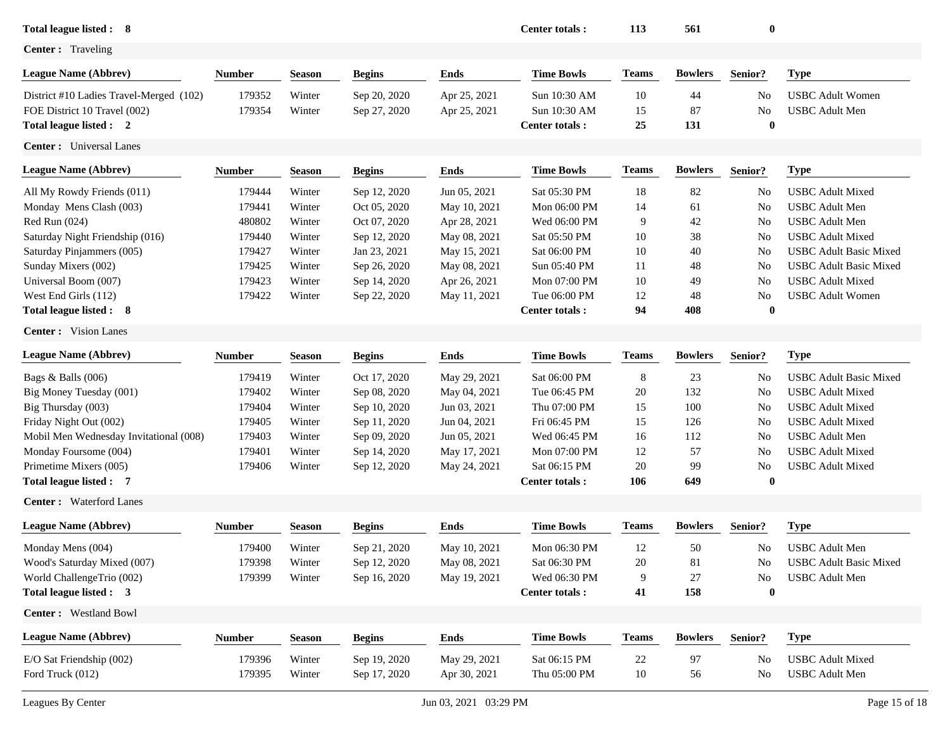| Total league listed : 8                                                                            |                  |                  |                              |                              | Center totals:                                        | 113            | 561             | $\bf{0}$             |                                                  |
|----------------------------------------------------------------------------------------------------|------------------|------------------|------------------------------|------------------------------|-------------------------------------------------------|----------------|-----------------|----------------------|--------------------------------------------------|
| <b>Center:</b> Traveling                                                                           |                  |                  |                              |                              |                                                       |                |                 |                      |                                                  |
| <b>League Name (Abbrev)</b>                                                                        | <b>Number</b>    | <b>Season</b>    | <b>Begins</b>                | <b>Ends</b>                  | <b>Time Bowls</b>                                     | <b>Teams</b>   | <b>Bowlers</b>  | Senior?              | <b>Type</b>                                      |
| District #10 Ladies Travel-Merged (102)<br>FOE District 10 Travel (002)<br>Total league listed : 2 | 179352<br>179354 | Winter<br>Winter | Sep 20, 2020<br>Sep 27, 2020 | Apr 25, 2021<br>Apr 25, 2021 | Sun 10:30 AM<br>Sun 10:30 AM<br><b>Center totals:</b> | 10<br>15<br>25 | 44<br>87<br>131 | No<br>No<br>$\bf{0}$ | <b>USBC</b> Adult Women<br><b>USBC</b> Adult Men |
| <b>Center:</b> Universal Lanes                                                                     |                  |                  |                              |                              |                                                       |                |                 |                      |                                                  |
| <b>League Name (Abbrev)</b>                                                                        | <b>Number</b>    | <b>Season</b>    | <b>Begins</b>                | <b>Ends</b>                  | <b>Time Bowls</b>                                     | <b>Teams</b>   | <b>Bowlers</b>  | Senior?              | <b>Type</b>                                      |
| All My Rowdy Friends (011)                                                                         | 179444           | Winter           | Sep 12, 2020                 | Jun 05, 2021                 | Sat 05:30 PM                                          | 18             | 82              | No                   | <b>USBC</b> Adult Mixed                          |
| Monday Mens Clash (003)                                                                            | 179441           | Winter           | Oct 05, 2020                 | May 10, 2021                 | Mon 06:00 PM                                          | 14             | 61              | No                   | <b>USBC</b> Adult Men                            |
| Red Run (024)                                                                                      | 480802           | Winter           | Oct 07, 2020                 | Apr 28, 2021                 | Wed 06:00 PM                                          | 9              | 42              | No                   | <b>USBC</b> Adult Men                            |
| Saturday Night Friendship (016)                                                                    | 179440           | Winter           | Sep 12, 2020                 | May 08, 2021                 | Sat 05:50 PM                                          | 10             | 38              | No                   | <b>USBC</b> Adult Mixed                          |
| Saturday Pinjammers (005)                                                                          | 179427           | Winter           | Jan 23, 2021                 | May 15, 2021                 | Sat 06:00 PM                                          | 10             | 40              | No                   | <b>USBC Adult Basic Mixed</b>                    |
| Sunday Mixers (002)                                                                                | 179425           | Winter           | Sep 26, 2020                 | May 08, 2021                 | Sun 05:40 PM                                          | 11             | 48              | No                   | <b>USBC</b> Adult Basic Mixed                    |
| Universal Boom (007)                                                                               | 179423           | Winter           | Sep 14, 2020                 | Apr 26, 2021                 | Mon 07:00 PM                                          | 10             | 49              | No                   | <b>USBC</b> Adult Mixed                          |
| West End Girls (112)                                                                               | 179422           | Winter           | Sep 22, 2020                 | May 11, 2021                 | Tue 06:00 PM                                          | 12             | 48              | No                   | <b>USBC</b> Adult Women                          |
| Total league listed : 8                                                                            |                  |                  |                              |                              | Center totals:                                        | 94             | 408             | $\bf{0}$             |                                                  |
| <b>Center:</b> Vision Lanes                                                                        |                  |                  |                              |                              |                                                       |                |                 |                      |                                                  |
| <b>League Name (Abbrev)</b>                                                                        | <b>Number</b>    | <b>Season</b>    | <b>Begins</b>                | <b>Ends</b>                  | <b>Time Bowls</b>                                     | <b>Teams</b>   | <b>Bowlers</b>  | Senior?              | <b>Type</b>                                      |
| Bags & Balls (006)                                                                                 | 179419           | Winter           | Oct 17, 2020                 | May 29, 2021                 | Sat 06:00 PM                                          | 8              | 23              | No                   | <b>USBC Adult Basic Mixed</b>                    |
| Big Money Tuesday (001)                                                                            | 179402           | Winter           | Sep 08, 2020                 | May 04, 2021                 | Tue 06:45 PM                                          | 20             | 132             | No                   | <b>USBC</b> Adult Mixed                          |
| Big Thursday (003)                                                                                 | 179404           | Winter           | Sep 10, 2020                 | Jun 03, 2021                 | Thu 07:00 PM                                          | 15             | 100             | No                   | <b>USBC</b> Adult Mixed                          |
| Friday Night Out (002)                                                                             | 179405           | Winter           | Sep 11, 2020                 | Jun 04, 2021                 | Fri 06:45 PM                                          | 15             | 126             | No                   | <b>USBC</b> Adult Mixed                          |
| Mobil Men Wednesday Invitational (008)                                                             | 179403           | Winter           | Sep 09, 2020                 | Jun 05, 2021                 | Wed 06:45 PM                                          | 16             | 112             | No                   | <b>USBC</b> Adult Men                            |
| Monday Foursome (004)                                                                              | 179401           | Winter           | Sep 14, 2020                 | May 17, 2021                 | Mon 07:00 PM                                          | 12             | 57              | No                   | <b>USBC</b> Adult Mixed                          |
| Primetime Mixers (005)                                                                             | 179406           | Winter           | Sep 12, 2020                 | May 24, 2021                 | Sat 06:15 PM                                          | 20             | 99              | No                   | <b>USBC</b> Adult Mixed                          |
| Total league listed : 7                                                                            |                  |                  |                              |                              | <b>Center totals:</b>                                 | 106            | 649             | $\bf{0}$             |                                                  |
| <b>Center:</b> Waterford Lanes                                                                     |                  |                  |                              |                              |                                                       |                |                 |                      |                                                  |
| <b>League Name (Abbrev)</b>                                                                        | <b>Number</b>    | <b>Season</b>    | <b>Begins</b>                | <b>Ends</b>                  | <b>Time Bowls</b>                                     | <b>Teams</b>   | <b>Bowlers</b>  | Senior?              | <b>Type</b>                                      |
| Monday Mens (004)                                                                                  | 179400           | Winter           | Sep 21, 2020                 | May 10, 2021                 | Mon 06:30 PM                                          | 12             | 50              | No.                  | <b>USBC</b> Adult Men                            |
| Wood's Saturday Mixed (007)                                                                        | 179398           | Winter           | Sep 12, 2020                 | May 08, 2021                 | Sat 06:30 PM                                          | 20             | 81              | No.                  | <b>USBC</b> Adult Basic Mixed                    |
| World ChallengeTrio (002)                                                                          | 179399           | Winter           | Sep 16, 2020                 | May 19, 2021                 | Wed 06:30 PM                                          | 9              | 27              | No                   | <b>USBC</b> Adult Men                            |
| Total league listed : 3                                                                            |                  |                  |                              |                              | <b>Center totals:</b>                                 | 41             | 158             | $\boldsymbol{0}$     |                                                  |
| Center: Westland Bowl                                                                              |                  |                  |                              |                              |                                                       |                |                 |                      |                                                  |
| <b>League Name (Abbrev)</b>                                                                        | <b>Number</b>    | <b>Season</b>    | <b>Begins</b>                | Ends                         | <b>Time Bowls</b>                                     | <b>Teams</b>   | <b>Bowlers</b>  | Senior?              | <b>Type</b>                                      |
| E/O Sat Friendship (002)                                                                           | 179396           | Winter           | Sep 19, 2020                 | May 29, 2021                 | Sat 06:15 PM                                          | 22             | 97              | No                   | <b>USBC</b> Adult Mixed                          |
| Ford Truck (012)                                                                                   | 179395           | Winter           | Sep 17, 2020                 | Apr 30, 2021                 | Thu 05:00 PM                                          | $10\,$         | 56              | No                   | <b>USBC</b> Adult Men                            |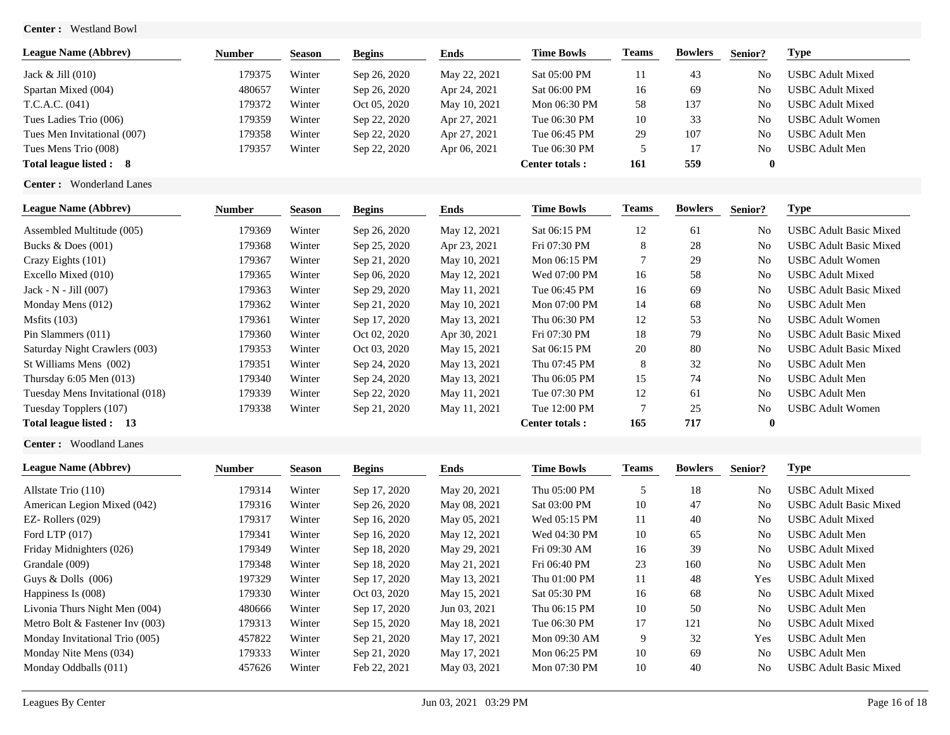**Center :** Westland Bowl

| <b>League Name (Abbrev)</b>     | Number | <b>Season</b> | <b>Begins</b> | Ends         | <b>Time Bowls</b> | <b>Teams</b> | <b>Bowlers</b> | Senior?        | Type             |
|---------------------------------|--------|---------------|---------------|--------------|-------------------|--------------|----------------|----------------|------------------|
| Jack $&$ Jill $(010)$           | 179375 | Winter        | Sep 26, 2020  | May 22, 2021 | Sat 05:00 PM      |              | 43             | N <sub>0</sub> | USBC Adult Mixed |
| Spartan Mixed (004)             | 480657 | Winter        | Sep 26, 2020  | Apr 24, 2021 | Sat 06:00 PM      | 16           | 69             | N <sub>0</sub> | USBC Adult Mixed |
| T.C.A.C. (041)                  | 179372 | Winter        | Oct 05, 2020  | May 10, 2021 | Mon 06:30 PM      | 58           | 137            | N <sub>0</sub> | USBC Adult Mixed |
| Tues Ladies Trio (006)          | 179359 | Winter        | Sep 22, 2020  | Apr 27, 2021 | Tue 06:30 PM      | 10           | 33             | N <sub>0</sub> | USBC Adult Women |
| Tues Men Invitational (007)     | 179358 | Winter        | Sep 22, 2020  | Apr 27, 2021 | Tue 06:45 PM      | 29           | 107            | N <sub>0</sub> | JSBC Adult Men-  |
| Tues Mens Trio (008)            | 179357 | Winter        | Sep 22, 2020  | Apr 06, 2021 | Tue 06:30 PM      |              | 17             | N <sub>0</sub> | USBC Adult Men   |
| Total league listed : 8         |        |               |               |              | Center totals :   | 161          | 559            |                |                  |
| <b>Center:</b> Wonderland Lanes |        |               |               |              |                   |              |                |                |                  |

| <b>League Name (Abbrev)</b>               | Number | <b>Season</b> | <b>Begins</b> | Ends         | <b>Time Bowls</b> | Teams | <b>Bowlers</b> | Senior?        | Type                          |
|-------------------------------------------|--------|---------------|---------------|--------------|-------------------|-------|----------------|----------------|-------------------------------|
| Assembled Multitude (005)                 | 179369 | Winter        | Sep 26, 2020  | May 12, 2021 | Sat 06:15 PM      | 12    | 61             | N <sub>0</sub> | USBC Adult Basic Mixed        |
| Bucks $& Does (001)$                      | 179368 | Winter        | Sep 25, 2020  | Apr 23, 2021 | Fri 07:30 PM      | 8     | 28             | N <sub>0</sub> | <b>USBC Adult Basic Mixed</b> |
| Crazy Eights (101)                        | 179367 | Winter        | Sep 21, 2020  | May 10, 2021 | Mon 06:15 PM      |       | 29             | N <sub>0</sub> | <b>USBC Adult Women</b>       |
| Excello Mixed (010)                       | 179365 | Winter        | Sep 06, 2020  | May 12, 2021 | Wed 07:00 PM      | 16    | 58             | N <sub>0</sub> | <b>USBC Adult Mixed</b>       |
| Jack - $N$ - Jill $(007)$                 | 179363 | Winter        | Sep 29, 2020  | May 11, 2021 | Tue 06:45 PM      | 16    | 69             | N <sub>0</sub> | <b>USBC Adult Basic Mixed</b> |
| Monday Mens (012)                         | 179362 | Winter        | Sep 21, 2020  | May 10, 2021 | Mon 07:00 PM      | 14    | 68             | N <sub>0</sub> | USBC Adult Men                |
| Msfits $(103)$                            | 179361 | Winter        | Sep 17, 2020  | May 13, 2021 | Thu 06:30 PM      | 12    | 53             | N <sub>0</sub> | <b>USBC Adult Women</b>       |
| Pin Slammers (011)                        | 179360 | Winter        | Oct 02, 2020  | Apr 30, 2021 | Fri 07:30 PM      | 18    | 79             | N <sub>0</sub> | <b>USBC Adult Basic Mixed</b> |
| Saturday Night Crawlers (003)             | 179353 | Winter        | Oct 03, 2020  | May 15, 2021 | Sat 06:15 PM      | 20    | 80             | N <sub>0</sub> | <b>USBC Adult Basic Mixed</b> |
| St Williams Mens (002)                    | 179351 | Winter        | Sep 24, 2020  | May 13, 2021 | Thu 07:45 PM      | 8     | 32             | N <sub>0</sub> | <b>USBC</b> Adult Men         |
| Thursday $6:05$ Men $(013)$               | 179340 | Winter        | Sep 24, 2020  | May 13, 2021 | Thu 06:05 PM      | 15    | 74             | N <sub>o</sub> | <b>USBC</b> Adult Men         |
| Tuesday Mens Invitational (018)           | 179339 | Winter        | Sep 22, 2020  | May 11, 2021 | Tue 07:30 PM      | 12    | 61             | N <sub>0</sub> | <b>USBC</b> Adult Men         |
| Tuesday Topplers (107)                    | 179338 | Winter        | Sep 21, 2020  | May 11, 2021 | Tue 12:00 PM      | 7     | 25             | N <sub>0</sub> | <b>USBC Adult Women</b>       |
| <b>Total league listed :</b><br><b>13</b> |        |               |               |              | Center totals:    | 165   | 717            | $\mathbf{0}$   |                               |

**Center :** Woodland Lanes

| <b>League Name (Abbrev)</b>     | <b>Number</b> | <b>Season</b> | <b>Begins</b> | <b>Ends</b>  | <b>Time Bowls</b> | Teams | <b>Bowlers</b> | Senior?        | Type                          |
|---------------------------------|---------------|---------------|---------------|--------------|-------------------|-------|----------------|----------------|-------------------------------|
| Allstate Trio (110)             | 179314        | Winter        | Sep 17, 2020  | May 20, 2021 | Thu 05:00 PM      |       | 18             | No             | <b>USBC Adult Mixed</b>       |
| American Legion Mixed (042)     | 179316        | Winter        | Sep 26, 2020  | May 08, 2021 | Sat 03:00 PM      | 10    | 47             | N <sub>0</sub> | <b>USBC Adult Basic Mixed</b> |
| $EZ-$ Rollers $(029)$           | 179317        | Winter        | Sep 16, 2020  | May 05, 2021 | Wed 05:15 PM      | 11    | 40             | No             | <b>USBC</b> Adult Mixed       |
| Ford LTP $(017)$                | 179341        | Winter        | Sep 16, 2020  | May 12, 2021 | Wed 04:30 PM      | 10    | 65             | No             | <b>USBC</b> Adult Men         |
| Friday Midnighters (026)        | 179349        | Winter        | Sep 18, 2020  | May 29, 2021 | Fri 09:30 AM      | 16    | 39             | No             | <b>USBC</b> Adult Mixed       |
| Grandale (009)                  | 179348        | Winter        | Sep 18, 2020  | May 21, 2021 | Fri 06:40 PM      | 23    | 160            | No             | <b>USBC</b> Adult Men         |
| Guys $&$ Dolls $(006)$          | 197329        | Winter        | Sep 17, 2020  | May 13, 2021 | Thu 01:00 PM      | 11    | 48             | Yes            | <b>USBC</b> Adult Mixed       |
| Happiness Is (008)              | 179330        | Winter        | Oct 03, 2020  | May 15, 2021 | Sat 05:30 PM      | 16    | 68             | N <sub>0</sub> | <b>USBC</b> Adult Mixed       |
| Livonia Thurs Night Men (004)   | 480666        | Winter        | Sep 17, 2020  | Jun 03, 2021 | Thu 06:15 PM      | 10    | 50             | No             | <b>USBC</b> Adult Men         |
| Metro Bolt & Fastener Inv (003) | 179313        | Winter        | Sep 15, 2020  | May 18, 2021 | Tue 06:30 PM      | 17    | 121            | No             | <b>USBC Adult Mixed</b>       |
| Monday Invitational Trio (005)  | 457822        | Winter        | Sep 21, 2020  | May 17, 2021 | Mon 09:30 AM      | 9     | 32             | Yes            | <b>USBC</b> Adult Men         |
| Monday Nite Mens (034)          | 179333        | Winter        | Sep 21, 2020  | May 17, 2021 | Mon 06:25 PM      | 10    | 69             | No             | <b>USBC</b> Adult Men         |
| Monday Oddballs (011)           | 457626        | Winter        | Feb 22, 2021  | May 03, 2021 | Mon 07:30 PM      | 10    | 40             | No             | <b>USBC Adult Basic Mixed</b> |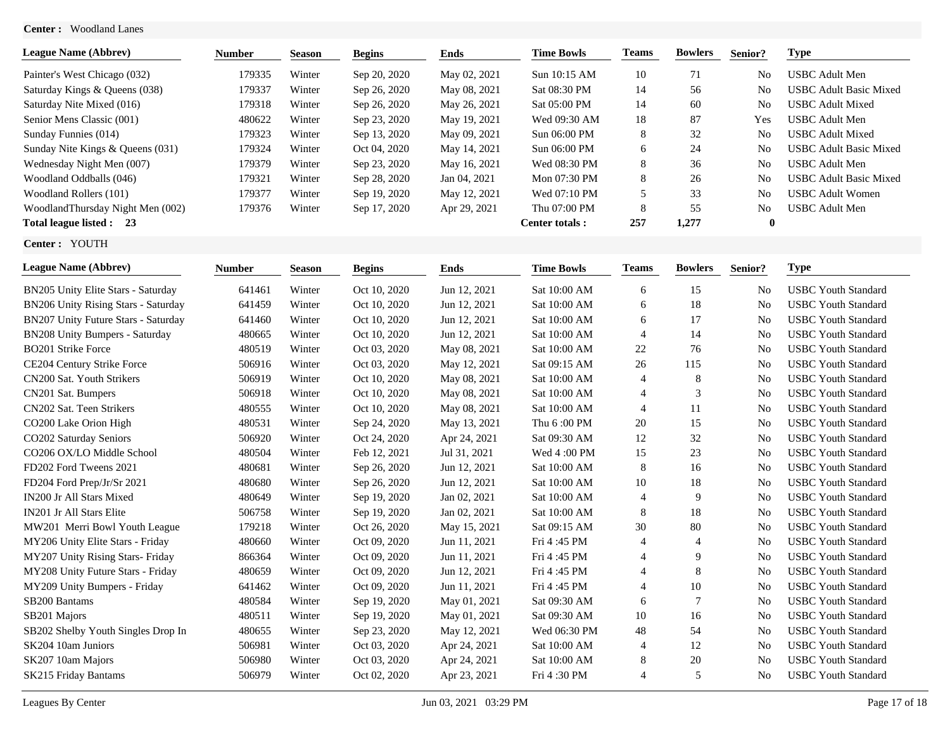## **Center :** Woodland Lanes

| <b>League Name (Abbrev)</b>      | <b>Number</b> | <b>Season</b> | <b>Begins</b> | Ends         | <b>Time Bowls</b> | <b>Teams</b> | <b>Bowlers</b> | Senior?        | Type                          |
|----------------------------------|---------------|---------------|---------------|--------------|-------------------|--------------|----------------|----------------|-------------------------------|
| Painter's West Chicago (032)     | 179335        | Winter        | Sep 20, 2020  | May 02, 2021 | Sun 10:15 AM      | 10           | 71             | N <sub>0</sub> | USBC Adult Men                |
| Saturday Kings & Queens (038)    | 179337        | Winter        | Sep 26, 2020  | May 08, 2021 | Sat 08:30 PM      | 14           | 56             | No             | <b>USBC Adult Basic Mixed</b> |
| Saturday Nite Mixed (016)        | 179318        | Winter        | Sep 26, 2020  | May 26, 2021 | Sat 05:00 PM      | 14           | 60             | N <sub>0</sub> | <b>USBC Adult Mixed</b>       |
| Senior Mens Classic (001)        | 480622        | Winter        | Sep 23, 2020  | May 19, 2021 | Wed 09:30 AM      | 18           | 87             | Yes            | USBC Adult Men                |
| Sunday Funnies (014)             | 179323        | Winter        | Sep 13, 2020  | May 09, 2021 | Sun 06:00 PM      | 8            | 32             | N <sub>0</sub> | <b>USBC Adult Mixed</b>       |
| Sunday Nite Kings & Queens (031) | 179324        | Winter        | Oct 04, 2020  | May 14, 2021 | Sun 06:00 PM      | 6            | 24             | No             | <b>USBC Adult Basic Mixed</b> |
| Wednesday Night Men (007)        | 179379        | Winter        | Sep 23, 2020  | May 16, 2021 | Wed 08:30 PM      | 8            | 36             | N <sub>0</sub> | USBC Adult Men                |
| Woodland Oddballs (046)          | 179321        | Winter        | Sep 28, 2020  | Jan 04, 2021 | Mon 07:30 PM      | 8            | 26             | No             | <b>USBC Adult Basic Mixed</b> |
| Woodland Rollers (101)           | 179377        | Winter        | Sep 19, 2020  | May 12, 2021 | Wed 07:10 PM      |              | 33             | No             | USBC Adult Women              |
| WoodlandThursday Night Men (002) | 179376        | Winter        | Sep 17, 2020  | Apr 29, 2021 | Thu 07:00 PM      | 8            | 55             | No             | USBC Adult Men                |
| Total league listed : 23         |               |               |               |              | Center totals:    | 257          | 1.277          | $\mathbf{0}$   |                               |

**Center :** YOUTH

| <b>League Name (Abbrev)</b>         | <b>Number</b> | <b>Season</b> | <b>Begins</b> | Ends         | <b>Time Bowls</b> | <b>Teams</b>   | <b>Bowlers</b> | Senior?        | <b>Type</b>                |
|-------------------------------------|---------------|---------------|---------------|--------------|-------------------|----------------|----------------|----------------|----------------------------|
| BN205 Unity Elite Stars - Saturday  | 641461        | Winter        | Oct 10, 2020  | Jun 12, 2021 | Sat 10:00 AM      | 6              | 15             | No             | <b>USBC Youth Standard</b> |
| BN206 Unity Rising Stars - Saturday | 641459        | Winter        | Oct 10, 2020  | Jun 12, 2021 | Sat 10:00 AM      | 6              | 18             | N <sub>o</sub> | <b>USBC</b> Youth Standard |
| BN207 Unity Future Stars - Saturday | 641460        | Winter        | Oct 10, 2020  | Jun 12, 2021 | Sat 10:00 AM      | 6              | 17             | No             | <b>USBC Youth Standard</b> |
| BN208 Unity Bumpers - Saturday      | 480665        | Winter        | Oct 10, 2020  | Jun 12, 2021 | Sat 10:00 AM      | $\overline{4}$ | 14             | No             | <b>USBC Youth Standard</b> |
| <b>BO201 Strike Force</b>           | 480519        | Winter        | Oct 03, 2020  | May 08, 2021 | Sat 10:00 AM      | 22             | 76             | No             | <b>USBC Youth Standard</b> |
| CE204 Century Strike Force          | 506916        | Winter        | Oct 03, 2020  | May 12, 2021 | Sat 09:15 AM      | 26             | 115            | No             | <b>USBC Youth Standard</b> |
| CN200 Sat. Youth Strikers           | 506919        | Winter        | Oct 10, 2020  | May 08, 2021 | Sat 10:00 AM      | $\overline{4}$ | 8              | No             | <b>USBC Youth Standard</b> |
| CN201 Sat. Bumpers                  | 506918        | Winter        | Oct 10, 2020  | May 08, 2021 | Sat 10:00 AM      | $\overline{4}$ | 3              | No             | <b>USBC Youth Standard</b> |
| CN202 Sat. Teen Strikers            | 480555        | Winter        | Oct 10, 2020  | May 08, 2021 | Sat 10:00 AM      | $\overline{4}$ | 11             | N <sub>o</sub> | <b>USBC Youth Standard</b> |
| CO200 Lake Orion High               | 480531        | Winter        | Sep 24, 2020  | May 13, 2021 | Thu 6:00 PM       | 20             | 15             | N <sub>o</sub> | <b>USBC Youth Standard</b> |
| CO202 Saturday Seniors              | 506920        | Winter        | Oct 24, 2020  | Apr 24, 2021 | Sat 09:30 AM      | 12             | 32             | N <sub>o</sub> | <b>USBC Youth Standard</b> |
| CO206 OX/LO Middle School           | 480504        | Winter        | Feb 12, 2021  | Jul 31, 2021 | Wed 4:00 PM       | 15             | 23             | No             | <b>USBC Youth Standard</b> |
| FD202 Ford Tweens 2021              | 480681        | Winter        | Sep 26, 2020  | Jun 12, 2021 | Sat 10:00 AM      | 8              | 16             | N <sub>0</sub> | <b>USBC Youth Standard</b> |
| FD204 Ford Prep/Jr/Sr 2021          | 480680        | Winter        | Sep 26, 2020  | Jun 12, 2021 | Sat 10:00 AM      | 10             | 18             | No             | <b>USBC Youth Standard</b> |
| IN200 Jr All Stars Mixed            | 480649        | Winter        | Sep 19, 2020  | Jan 02, 2021 | Sat 10:00 AM      | $\overline{4}$ | 9              | No             | <b>USBC Youth Standard</b> |
| <b>IN201 Jr All Stars Elite</b>     | 506758        | Winter        | Sep 19, 2020  | Jan 02, 2021 | Sat 10:00 AM      | 8              | 18             | No             | <b>USBC Youth Standard</b> |
| MW201 Merri Bowl Youth League       | 179218        | Winter        | Oct 26, 2020  | May 15, 2021 | Sat 09:15 AM      | 30             | 80             | No             | <b>USBC Youth Standard</b> |
| MY206 Unity Elite Stars - Friday    | 480660        | Winter        | Oct 09, 2020  | Jun 11, 2021 | Fri 4:45 PM       | $\overline{4}$ | 4              | No             | <b>USBC Youth Standard</b> |
| MY207 Unity Rising Stars- Friday    | 866364        | Winter        | Oct 09, 2020  | Jun 11, 2021 | Fri 4:45 PM       | $\overline{4}$ | 9              | N <sub>o</sub> | <b>USBC Youth Standard</b> |
| MY208 Unity Future Stars - Friday   | 480659        | Winter        | Oct 09, 2020  | Jun 12, 2021 | Fri 4:45 PM       | $\overline{4}$ | 8              | N <sub>o</sub> | <b>USBC Youth Standard</b> |
| MY209 Unity Bumpers - Friday        | 641462        | Winter        | Oct 09, 2020  | Jun 11, 2021 | Fri 4:45 PM       | 4              | 10             | No             | <b>USBC Youth Standard</b> |
| SB200 Bantams                       | 480584        | Winter        | Sep 19, 2020  | May 01, 2021 | Sat 09:30 AM      | 6              | 7              | No             | <b>USBC Youth Standard</b> |
| SB <sub>201</sub> Majors            | 480511        | Winter        | Sep 19, 2020  | May 01, 2021 | Sat 09:30 AM      | 10             | 16             | No             | <b>USBC Youth Standard</b> |
| SB202 Shelby Youth Singles Drop In  | 480655        | Winter        | Sep 23, 2020  | May 12, 2021 | Wed 06:30 PM      | 48             | 54             | N <sub>o</sub> | <b>USBC Youth Standard</b> |
| SK204 10am Juniors                  | 506981        | Winter        | Oct 03, 2020  | Apr 24, 2021 | Sat 10:00 AM      | $\overline{4}$ | 12             | No             | <b>USBC Youth Standard</b> |
| SK207 10am Majors                   | 506980        | Winter        | Oct 03, 2020  | Apr 24, 2021 | Sat 10:00 AM      | 8              | 20             | N <sub>0</sub> | <b>USBC Youth Standard</b> |
| SK215 Friday Bantams                | 506979        | Winter        | Oct 02, 2020  | Apr 23, 2021 | Fri 4:30 PM       | $\overline{4}$ | 5              | N <sub>0</sub> | <b>USBC Youth Standard</b> |